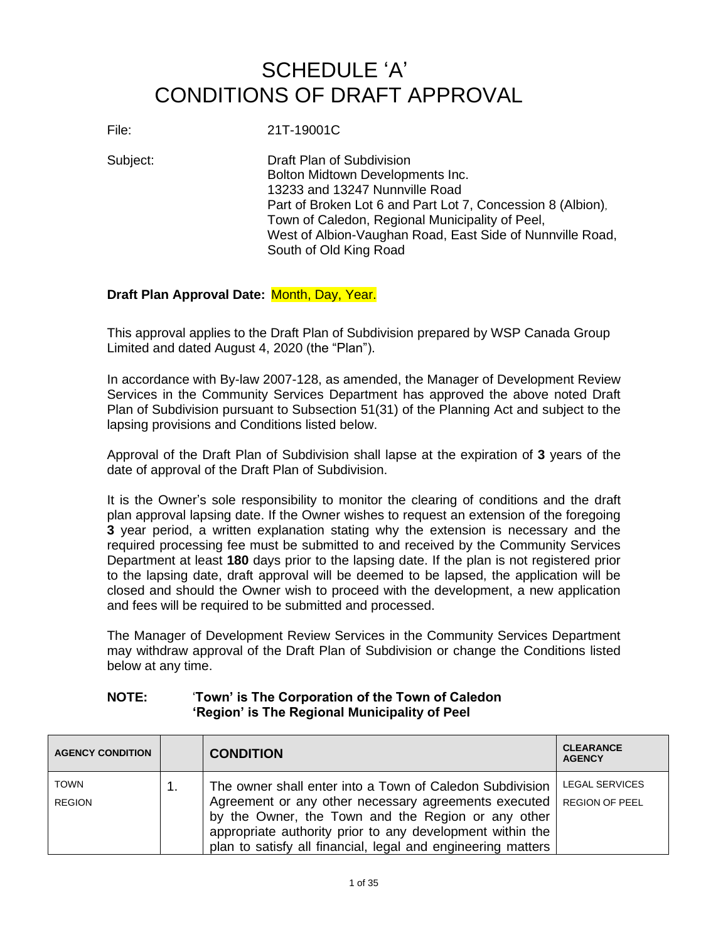## SCHEDULE 'A' CONDITIONS OF DRAFT APPROVAL

File: 21T-19001C

Subject: Draft Plan of Subdivision Bolton Midtown Developments Inc. 13233 and 13247 Nunnville Road Part of Broken Lot 6 and Part Lot 7, Concession 8 (Albion), Town of Caledon, Regional Municipality of Peel, West of Albion-Vaughan Road, East Side of Nunnville Road, South of Old King Road

## **Draft Plan Approval Date:** Month, Day, Year.

This approval applies to the Draft Plan of Subdivision prepared by WSP Canada Group Limited and dated August 4, 2020 (the "Plan").

In accordance with By-law 2007-128, as amended, the Manager of Development Review Services in the Community Services Department has approved the above noted Draft Plan of Subdivision pursuant to Subsection 51(31) of the Planning Act and subject to the lapsing provisions and Conditions listed below.

Approval of the Draft Plan of Subdivision shall lapse at the expiration of **3** years of the date of approval of the Draft Plan of Subdivision.

It is the Owner's sole responsibility to monitor the clearing of conditions and the draft plan approval lapsing date. If the Owner wishes to request an extension of the foregoing **3** year period, a written explanation stating why the extension is necessary and the required processing fee must be submitted to and received by the Community Services Department at least **180** days prior to the lapsing date. If the plan is not registered prior to the lapsing date, draft approval will be deemed to be lapsed, the application will be closed and should the Owner wish to proceed with the development, a new application and fees will be required to be submitted and processed.

The Manager of Development Review Services in the Community Services Department may withdraw approval of the Draft Plan of Subdivision or change the Conditions listed below at any time.

## **NOTE:** '**Town' is The Corporation of the Town of Caledon 'Region' is The Regional Municipality of Peel**

| <b>AGENCY CONDITION</b>      | <b>CONDITION</b>                                                                                                                                                                                                                                                                                    | <b>CLEARANCE</b><br><b>AGENCY</b>              |
|------------------------------|-----------------------------------------------------------------------------------------------------------------------------------------------------------------------------------------------------------------------------------------------------------------------------------------------------|------------------------------------------------|
| <b>TOWN</b><br><b>REGION</b> | The owner shall enter into a Town of Caledon Subdivision<br>Agreement or any other necessary agreements executed<br>by the Owner, the Town and the Region or any other<br>appropriate authority prior to any development within the<br>plan to satisfy all financial, legal and engineering matters | <b>LEGAL SERVICES</b><br><b>REGION OF PEEL</b> |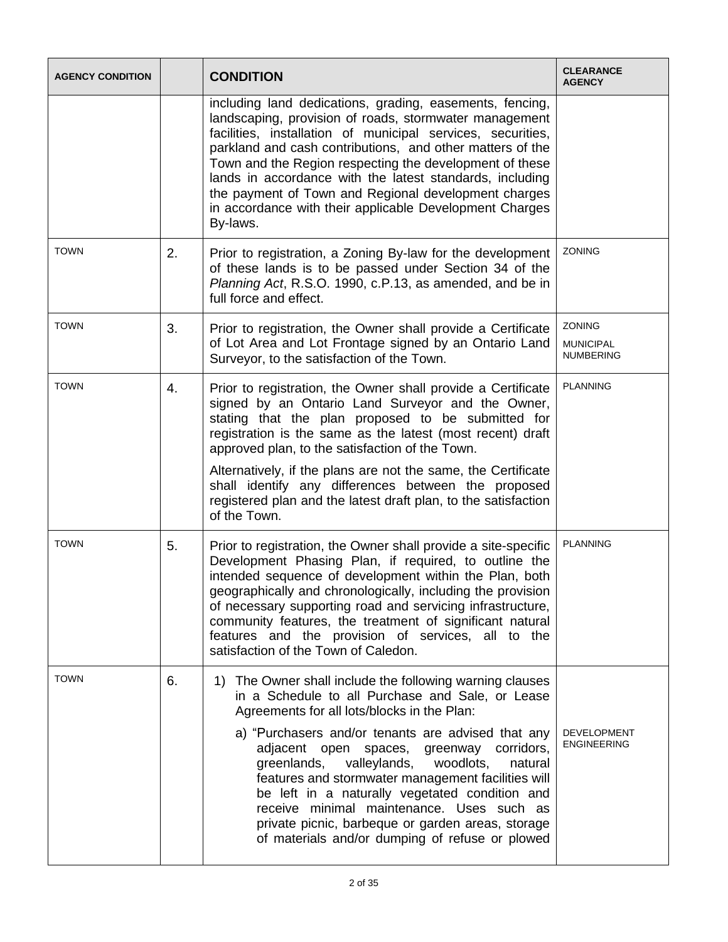| <b>AGENCY CONDITION</b> |    | <b>CONDITION</b>                                                                                                                                                                                                                                                                                                                                                                                                                                                                                                                                                                            | <b>CLEARANCE</b><br><b>AGENCY</b>              |
|-------------------------|----|---------------------------------------------------------------------------------------------------------------------------------------------------------------------------------------------------------------------------------------------------------------------------------------------------------------------------------------------------------------------------------------------------------------------------------------------------------------------------------------------------------------------------------------------------------------------------------------------|------------------------------------------------|
|                         |    | including land dedications, grading, easements, fencing,<br>landscaping, provision of roads, stormwater management<br>facilities, installation of municipal services, securities,<br>parkland and cash contributions, and other matters of the<br>Town and the Region respecting the development of these<br>lands in accordance with the latest standards, including<br>the payment of Town and Regional development charges<br>in accordance with their applicable Development Charges<br>By-laws.                                                                                        |                                                |
| <b>TOWN</b>             | 2. | Prior to registration, a Zoning By-law for the development<br>of these lands is to be passed under Section 34 of the<br>Planning Act, R.S.O. 1990, c.P.13, as amended, and be in<br>full force and effect.                                                                                                                                                                                                                                                                                                                                                                                  | ZONING                                         |
| <b>TOWN</b>             | 3. | Prior to registration, the Owner shall provide a Certificate<br>of Lot Area and Lot Frontage signed by an Ontario Land<br>Surveyor, to the satisfaction of the Town.                                                                                                                                                                                                                                                                                                                                                                                                                        | ZONING<br><b>MUNICIPAL</b><br><b>NUMBERING</b> |
| <b>TOWN</b>             | 4. | Prior to registration, the Owner shall provide a Certificate<br>signed by an Ontario Land Surveyor and the Owner,<br>stating that the plan proposed to be submitted for<br>registration is the same as the latest (most recent) draft<br>approved plan, to the satisfaction of the Town.<br>Alternatively, if the plans are not the same, the Certificate<br>shall identify any differences between the proposed<br>registered plan and the latest draft plan, to the satisfaction<br>of the Town.                                                                                          | <b>PLANNING</b>                                |
| <b>TOWN</b>             | 5. | Prior to registration, the Owner shall provide a site-specific<br>Development Phasing Plan, if required, to outline the<br>intended sequence of development within the Plan, both<br>geographically and chronologically, including the provision<br>of necessary supporting road and servicing infrastructure,<br>community features, the treatment of significant natural<br>features and the provision of services, all to the<br>satisfaction of the Town of Caledon.                                                                                                                    | <b>PLANNING</b>                                |
| <b>TOWN</b>             | 6. | The Owner shall include the following warning clauses<br>1)<br>in a Schedule to all Purchase and Sale, or Lease<br>Agreements for all lots/blocks in the Plan:<br>a) "Purchasers and/or tenants are advised that any<br>corridors,<br>adjacent open spaces,<br>greenway<br>greenlands,<br>valleylands,<br>woodlots,<br>natural<br>features and stormwater management facilities will<br>be left in a naturally vegetated condition and<br>receive minimal maintenance. Uses such as<br>private picnic, barbeque or garden areas, storage<br>of materials and/or dumping of refuse or plowed | <b>DEVELOPMENT</b><br><b>ENGINEERING</b>       |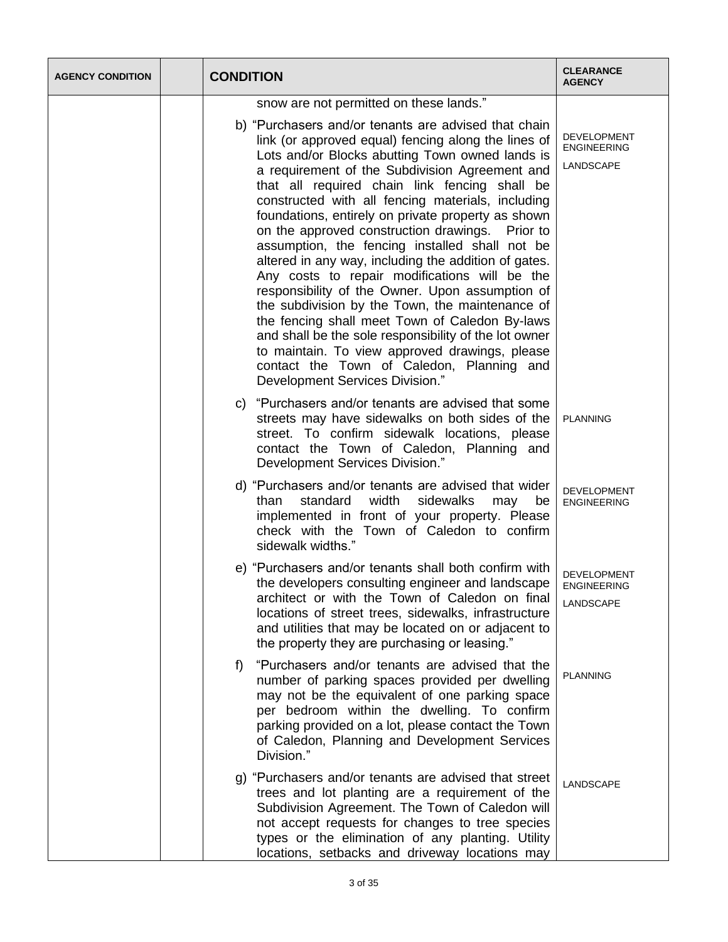| <b>AGENCY CONDITION</b> | <b>CONDITION</b>                                                                                                                                                                                                                                                                                                                                                                                                                                                                                                                                                                                                                                                                                                                                                                                                                                                                                                                              | <b>CLEARANCE</b><br><b>AGENCY</b>                     |
|-------------------------|-----------------------------------------------------------------------------------------------------------------------------------------------------------------------------------------------------------------------------------------------------------------------------------------------------------------------------------------------------------------------------------------------------------------------------------------------------------------------------------------------------------------------------------------------------------------------------------------------------------------------------------------------------------------------------------------------------------------------------------------------------------------------------------------------------------------------------------------------------------------------------------------------------------------------------------------------|-------------------------------------------------------|
|                         | snow are not permitted on these lands."                                                                                                                                                                                                                                                                                                                                                                                                                                                                                                                                                                                                                                                                                                                                                                                                                                                                                                       |                                                       |
|                         | b) "Purchasers and/or tenants are advised that chain<br>link (or approved equal) fencing along the lines of<br>Lots and/or Blocks abutting Town owned lands is<br>a requirement of the Subdivision Agreement and<br>that all required chain link fencing shall be<br>constructed with all fencing materials, including<br>foundations, entirely on private property as shown<br>on the approved construction drawings. Prior to<br>assumption, the fencing installed shall not be<br>altered in any way, including the addition of gates.<br>Any costs to repair modifications will be the<br>responsibility of the Owner. Upon assumption of<br>the subdivision by the Town, the maintenance of<br>the fencing shall meet Town of Caledon By-laws<br>and shall be the sole responsibility of the lot owner<br>to maintain. To view approved drawings, please<br>contact the Town of Caledon, Planning and<br>Development Services Division." | <b>DEVELOPMENT</b><br><b>ENGINEERING</b><br>LANDSCAPE |
|                         | "Purchasers and/or tenants are advised that some<br>C)<br>streets may have sidewalks on both sides of the<br>street. To confirm sidewalk locations, please<br>contact the Town of Caledon, Planning and<br>Development Services Division."                                                                                                                                                                                                                                                                                                                                                                                                                                                                                                                                                                                                                                                                                                    | <b>PLANNING</b>                                       |
|                         | d) "Purchasers and/or tenants are advised that wider<br>standard<br>width<br>sidewalks<br>than<br>may<br>be<br>implemented in front of your property. Please<br>check with the Town of Caledon to confirm<br>sidewalk widths."                                                                                                                                                                                                                                                                                                                                                                                                                                                                                                                                                                                                                                                                                                                | <b>DEVELOPMENT</b><br><b>ENGINEERING</b>              |
|                         | e) "Purchasers and/or tenants shall both confirm with<br>the developers consulting engineer and landscape<br>architect or with the Town of Caledon on final<br>locations of street trees, sidewalks, infrastructure<br>and utilities that may be located on or adjacent to<br>the property they are purchasing or leasing."                                                                                                                                                                                                                                                                                                                                                                                                                                                                                                                                                                                                                   | <b>DEVELOPMENT</b><br><b>ENGINEERING</b><br>LANDSCAPE |
|                         | "Purchasers and/or tenants are advised that the<br>f)<br>number of parking spaces provided per dwelling<br>may not be the equivalent of one parking space<br>per bedroom within the dwelling. To confirm<br>parking provided on a lot, please contact the Town<br>of Caledon, Planning and Development Services<br>Division."                                                                                                                                                                                                                                                                                                                                                                                                                                                                                                                                                                                                                 | <b>PLANNING</b>                                       |
|                         | g) "Purchasers and/or tenants are advised that street<br>trees and lot planting are a requirement of the<br>Subdivision Agreement. The Town of Caledon will<br>not accept requests for changes to tree species<br>types or the elimination of any planting. Utility<br>locations, setbacks and driveway locations may                                                                                                                                                                                                                                                                                                                                                                                                                                                                                                                                                                                                                         | <b>LANDSCAPE</b>                                      |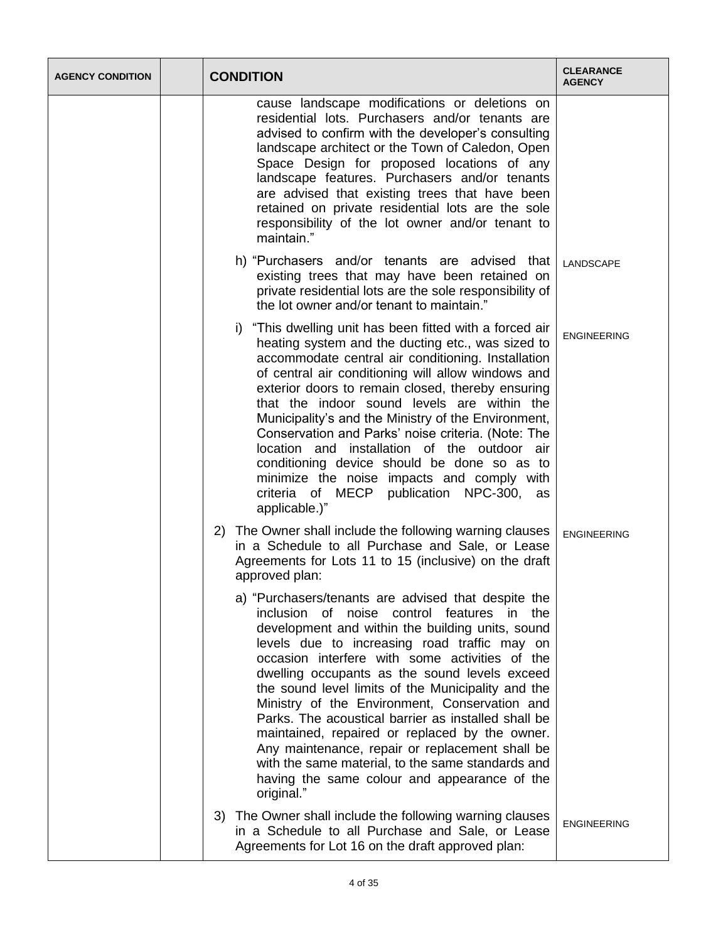| <b>AGENCY CONDITION</b> |    | <b>CONDITION</b>                                                                                                                                                                                                                                                                                                                                                                                                                                                                                                                                                                                                                                                                               | <b>CLEARANCE</b><br><b>AGENCY</b> |
|-------------------------|----|------------------------------------------------------------------------------------------------------------------------------------------------------------------------------------------------------------------------------------------------------------------------------------------------------------------------------------------------------------------------------------------------------------------------------------------------------------------------------------------------------------------------------------------------------------------------------------------------------------------------------------------------------------------------------------------------|-----------------------------------|
|                         |    | cause landscape modifications or deletions on<br>residential lots. Purchasers and/or tenants are<br>advised to confirm with the developer's consulting<br>landscape architect or the Town of Caledon, Open<br>Space Design for proposed locations of any<br>landscape features. Purchasers and/or tenants<br>are advised that existing trees that have been<br>retained on private residential lots are the sole<br>responsibility of the lot owner and/or tenant to<br>maintain."                                                                                                                                                                                                             |                                   |
|                         |    | h) "Purchasers and/or tenants are advised that<br>existing trees that may have been retained on<br>private residential lots are the sole responsibility of<br>the lot owner and/or tenant to maintain."                                                                                                                                                                                                                                                                                                                                                                                                                                                                                        | LANDSCAPE                         |
|                         |    | "This dwelling unit has been fitted with a forced air<br>i)<br>heating system and the ducting etc., was sized to<br>accommodate central air conditioning. Installation<br>of central air conditioning will allow windows and<br>exterior doors to remain closed, thereby ensuring<br>that the indoor sound levels are within the<br>Municipality's and the Ministry of the Environment,<br>Conservation and Parks' noise criteria. (Note: The<br>location and installation of the outdoor air<br>conditioning device should be done so as to<br>minimize the noise impacts and comply with<br>criteria of MECP publication NPC-300,<br>as<br>applicable.)"                                     | <b>ENGINEERING</b>                |
|                         | 2) | The Owner shall include the following warning clauses<br>in a Schedule to all Purchase and Sale, or Lease<br>Agreements for Lots 11 to 15 (inclusive) on the draft<br>approved plan:                                                                                                                                                                                                                                                                                                                                                                                                                                                                                                           | <b>ENGINEERING</b>                |
|                         |    | a) "Purchasers/tenants are advised that despite the<br>inclusion of noise control features in the<br>development and within the building units, sound<br>levels due to increasing road traffic may on<br>occasion interfere with some activities of the<br>dwelling occupants as the sound levels exceed<br>the sound level limits of the Municipality and the<br>Ministry of the Environment, Conservation and<br>Parks. The acoustical barrier as installed shall be<br>maintained, repaired or replaced by the owner.<br>Any maintenance, repair or replacement shall be<br>with the same material, to the same standards and<br>having the same colour and appearance of the<br>original." |                                   |
|                         | 3) | The Owner shall include the following warning clauses<br>in a Schedule to all Purchase and Sale, or Lease<br>Agreements for Lot 16 on the draft approved plan:                                                                                                                                                                                                                                                                                                                                                                                                                                                                                                                                 | <b>ENGINEERING</b>                |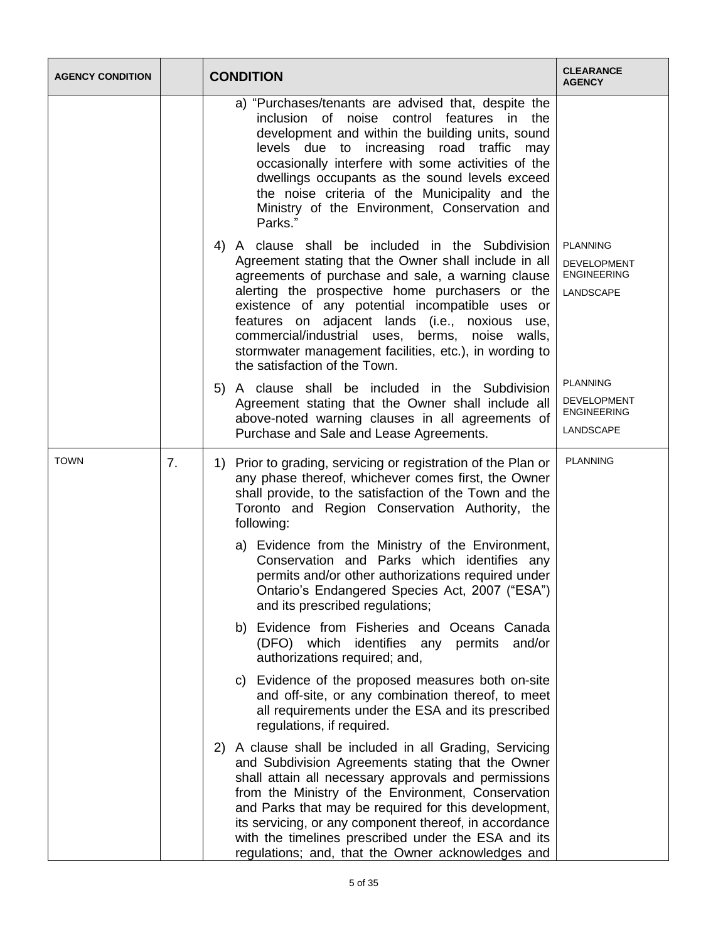| <b>AGENCY CONDITION</b> |                | <b>CONDITION</b>                                                                                                                                                                                                                                                                                                                                                                                                                                                     | <b>CLEARANCE</b><br><b>AGENCY</b>                                        |
|-------------------------|----------------|----------------------------------------------------------------------------------------------------------------------------------------------------------------------------------------------------------------------------------------------------------------------------------------------------------------------------------------------------------------------------------------------------------------------------------------------------------------------|--------------------------------------------------------------------------|
|                         |                | a) "Purchases/tenants are advised that, despite the<br>inclusion of noise control features in the<br>development and within the building units, sound<br>levels due to increasing road traffic may<br>occasionally interfere with some activities of the<br>dwellings occupants as the sound levels exceed<br>the noise criteria of the Municipality and the<br>Ministry of the Environment, Conservation and<br>Parks."                                             |                                                                          |
|                         |                | 4) A clause shall be included in the Subdivision<br>Agreement stating that the Owner shall include in all<br>agreements of purchase and sale, a warning clause<br>alerting the prospective home purchasers or the<br>existence of any potential incompatible uses or<br>features on adjacent lands (i.e., noxious use,<br>commercial/industrial uses, berms, noise walls,<br>stormwater management facilities, etc.), in wording to<br>the satisfaction of the Town. | <b>PLANNING</b><br><b>DEVELOPMENT</b><br><b>ENGINEERING</b><br>LANDSCAPE |
|                         |                | 5) A clause shall be included in the Subdivision<br>Agreement stating that the Owner shall include all<br>above-noted warning clauses in all agreements of<br>Purchase and Sale and Lease Agreements.                                                                                                                                                                                                                                                                | <b>PLANNING</b><br>DEVELOPMENT<br><b>ENGINEERING</b><br>LANDSCAPE        |
| <b>TOWN</b>             | 7 <sub>1</sub> | 1) Prior to grading, servicing or registration of the Plan or<br>any phase thereof, whichever comes first, the Owner<br>shall provide, to the satisfaction of the Town and the<br>Toronto and Region Conservation Authority, the<br>following:                                                                                                                                                                                                                       | <b>PLANNING</b>                                                          |
|                         |                | a) Evidence from the Ministry of the Environment,<br>Conservation and Parks which identifies any<br>permits and/or other authorizations required under<br>Ontario's Endangered Species Act, 2007 ("ESA")<br>and its prescribed regulations;                                                                                                                                                                                                                          |                                                                          |
|                         |                | b) Evidence from Fisheries and Oceans Canada<br>(DFO) which identifies any permits<br>and/or<br>authorizations required; and,                                                                                                                                                                                                                                                                                                                                        |                                                                          |
|                         |                | c) Evidence of the proposed measures both on-site<br>and off-site, or any combination thereof, to meet<br>all requirements under the ESA and its prescribed<br>regulations, if required.                                                                                                                                                                                                                                                                             |                                                                          |
|                         |                | 2) A clause shall be included in all Grading, Servicing<br>and Subdivision Agreements stating that the Owner<br>shall attain all necessary approvals and permissions<br>from the Ministry of the Environment, Conservation<br>and Parks that may be required for this development,<br>its servicing, or any component thereof, in accordance<br>with the timelines prescribed under the ESA and its<br>regulations; and, that the Owner acknowledges and             |                                                                          |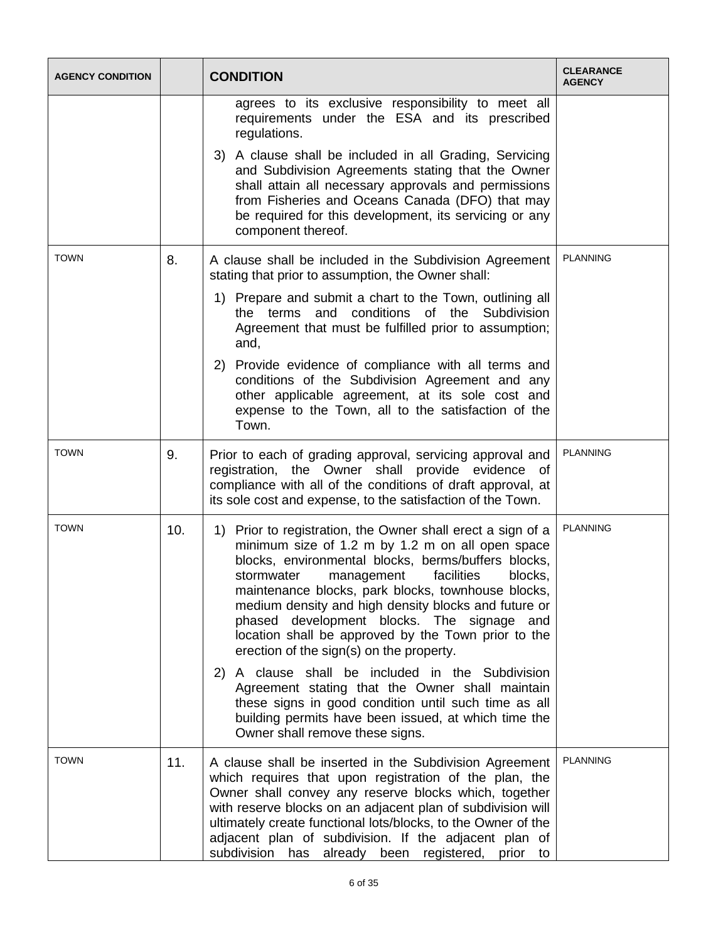| <b>AGENCY CONDITION</b> |     | <b>CONDITION</b>                                                                                                                                                                                                                                                                                                                                                                                                                                                                                                                                                                                                                                       | <b>CLEARANCE</b><br><b>AGENCY</b> |
|-------------------------|-----|--------------------------------------------------------------------------------------------------------------------------------------------------------------------------------------------------------------------------------------------------------------------------------------------------------------------------------------------------------------------------------------------------------------------------------------------------------------------------------------------------------------------------------------------------------------------------------------------------------------------------------------------------------|-----------------------------------|
|                         |     | agrees to its exclusive responsibility to meet all<br>requirements under the ESA and its prescribed<br>regulations.<br>3) A clause shall be included in all Grading, Servicing<br>and Subdivision Agreements stating that the Owner<br>shall attain all necessary approvals and permissions<br>from Fisheries and Oceans Canada (DFO) that may<br>be required for this development, its servicing or any<br>component thereof.                                                                                                                                                                                                                         |                                   |
| <b>TOWN</b>             | 8.  | A clause shall be included in the Subdivision Agreement<br>stating that prior to assumption, the Owner shall:<br>1) Prepare and submit a chart to the Town, outlining all<br>terms and conditions of the Subdivision<br>the<br>Agreement that must be fulfilled prior to assumption;<br>and,<br>2) Provide evidence of compliance with all terms and<br>conditions of the Subdivision Agreement and any<br>other applicable agreement, at its sole cost and<br>expense to the Town, all to the satisfaction of the<br>Town.                                                                                                                            | <b>PLANNING</b>                   |
| <b>TOWN</b>             | 9.  | Prior to each of grading approval, servicing approval and<br>registration, the Owner shall provide evidence of<br>compliance with all of the conditions of draft approval, at<br>its sole cost and expense, to the satisfaction of the Town.                                                                                                                                                                                                                                                                                                                                                                                                           | <b>PLANNING</b>                   |
| <b>TOWN</b>             | 10. | 1) Prior to registration, the Owner shall erect a sign of a<br>minimum size of 1.2 m by 1.2 m on all open space<br>blocks, environmental blocks, berms/buffers blocks,<br>management facilities<br>stormwater<br>blocks,<br>maintenance blocks, park blocks, townhouse blocks,<br>medium density and high density blocks and future or<br>phased development blocks. The signage and<br>location shall be approved by the Town prior to the<br>erection of the sign(s) on the property.<br>2) A clause shall be included in the Subdivision<br>Agreement stating that the Owner shall maintain<br>these signs in good condition until such time as all | <b>PLANNING</b>                   |
|                         |     | building permits have been issued, at which time the<br>Owner shall remove these signs.                                                                                                                                                                                                                                                                                                                                                                                                                                                                                                                                                                |                                   |
| <b>TOWN</b>             | 11. | A clause shall be inserted in the Subdivision Agreement<br>which requires that upon registration of the plan, the<br>Owner shall convey any reserve blocks which, together<br>with reserve blocks on an adjacent plan of subdivision will<br>ultimately create functional lots/blocks, to the Owner of the<br>adjacent plan of subdivision. If the adjacent plan of<br>subdivision has already been registered,<br>prior to                                                                                                                                                                                                                            | <b>PLANNING</b>                   |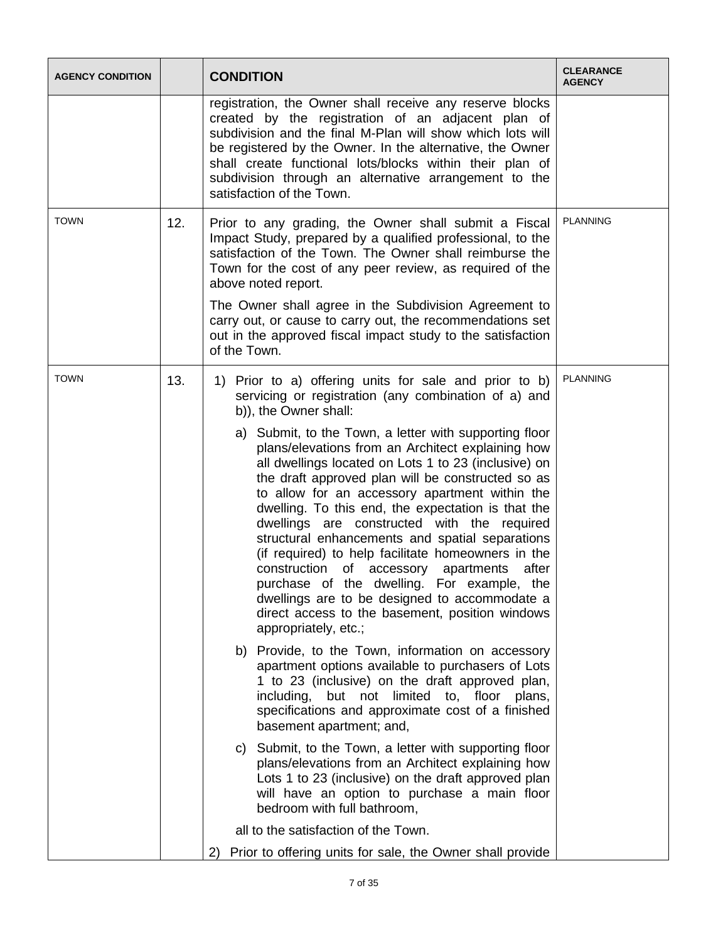| <b>AGENCY CONDITION</b> |     | <b>CONDITION</b>                                                                                                                                                                                                                                                                                                                                                                                                                                                                                                                                                                                                                                                                                                    | <b>CLEARANCE</b><br><b>AGENCY</b> |
|-------------------------|-----|---------------------------------------------------------------------------------------------------------------------------------------------------------------------------------------------------------------------------------------------------------------------------------------------------------------------------------------------------------------------------------------------------------------------------------------------------------------------------------------------------------------------------------------------------------------------------------------------------------------------------------------------------------------------------------------------------------------------|-----------------------------------|
|                         |     | registration, the Owner shall receive any reserve blocks<br>created by the registration of an adjacent plan of<br>subdivision and the final M-Plan will show which lots will<br>be registered by the Owner. In the alternative, the Owner<br>shall create functional lots/blocks within their plan of<br>subdivision through an alternative arrangement to the<br>satisfaction of the Town.                                                                                                                                                                                                                                                                                                                         |                                   |
| <b>TOWN</b>             | 12. | Prior to any grading, the Owner shall submit a Fiscal<br>Impact Study, prepared by a qualified professional, to the<br>satisfaction of the Town. The Owner shall reimburse the<br>Town for the cost of any peer review, as required of the<br>above noted report.                                                                                                                                                                                                                                                                                                                                                                                                                                                   | <b>PLANNING</b>                   |
|                         |     | The Owner shall agree in the Subdivision Agreement to<br>carry out, or cause to carry out, the recommendations set<br>out in the approved fiscal impact study to the satisfaction<br>of the Town.                                                                                                                                                                                                                                                                                                                                                                                                                                                                                                                   |                                   |
| <b>TOWN</b>             | 13. | 1) Prior to a) offering units for sale and prior to b)<br>servicing or registration (any combination of a) and<br>b)), the Owner shall:                                                                                                                                                                                                                                                                                                                                                                                                                                                                                                                                                                             | <b>PLANNING</b>                   |
|                         |     | a) Submit, to the Town, a letter with supporting floor<br>plans/elevations from an Architect explaining how<br>all dwellings located on Lots 1 to 23 (inclusive) on<br>the draft approved plan will be constructed so as<br>to allow for an accessory apartment within the<br>dwelling. To this end, the expectation is that the<br>dwellings are constructed with the required<br>structural enhancements and spatial separations<br>(if required) to help facilitate homeowners in the<br>construction of accessory apartments<br>after<br>purchase of the dwelling. For example, the<br>dwellings are to be designed to accommodate a<br>direct access to the basement, position windows<br>appropriately, etc.; |                                   |
|                         |     | b) Provide, to the Town, information on accessory<br>apartment options available to purchasers of Lots<br>1 to 23 (inclusive) on the draft approved plan,<br>including, but not limited to, floor plans,<br>specifications and approximate cost of a finished<br>basement apartment; and,                                                                                                                                                                                                                                                                                                                                                                                                                           |                                   |
|                         |     | c) Submit, to the Town, a letter with supporting floor<br>plans/elevations from an Architect explaining how<br>Lots 1 to 23 (inclusive) on the draft approved plan<br>will have an option to purchase a main floor<br>bedroom with full bathroom,                                                                                                                                                                                                                                                                                                                                                                                                                                                                   |                                   |
|                         |     | all to the satisfaction of the Town.<br>Prior to offering units for sale, the Owner shall provide<br>2)                                                                                                                                                                                                                                                                                                                                                                                                                                                                                                                                                                                                             |                                   |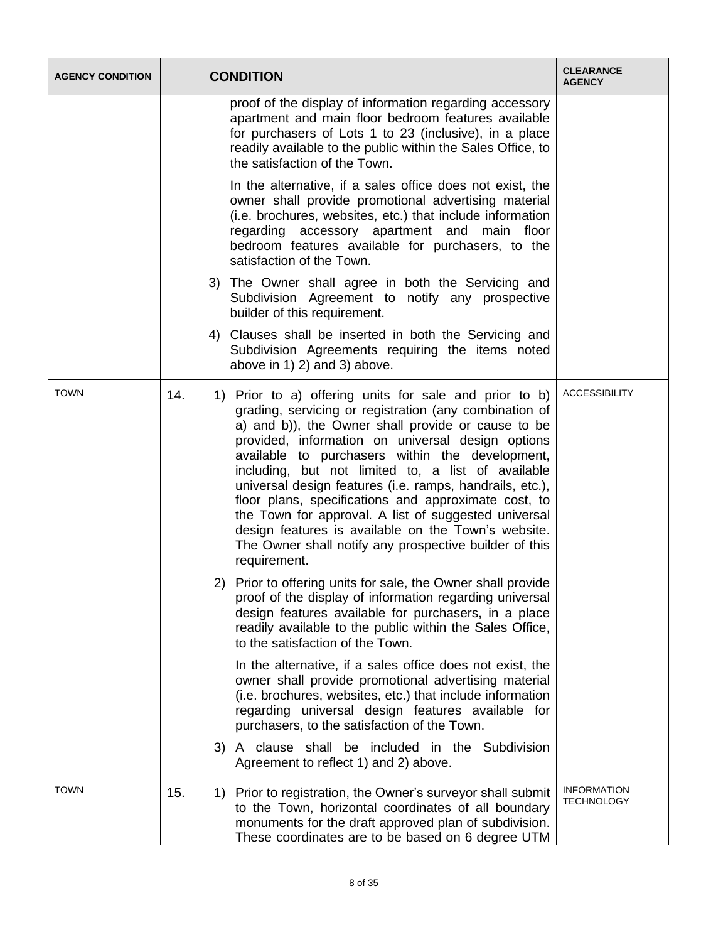| <b>AGENCY CONDITION</b> |     | <b>CONDITION</b>                                                                                                                                                                                                                                                                                                                                                                                                                                                                                                                                                                                                                                  | <b>CLEARANCE</b><br><b>AGENCY</b>       |
|-------------------------|-----|---------------------------------------------------------------------------------------------------------------------------------------------------------------------------------------------------------------------------------------------------------------------------------------------------------------------------------------------------------------------------------------------------------------------------------------------------------------------------------------------------------------------------------------------------------------------------------------------------------------------------------------------------|-----------------------------------------|
|                         |     | proof of the display of information regarding accessory<br>apartment and main floor bedroom features available<br>for purchasers of Lots 1 to 23 (inclusive), in a place<br>readily available to the public within the Sales Office, to<br>the satisfaction of the Town.                                                                                                                                                                                                                                                                                                                                                                          |                                         |
|                         |     | In the alternative, if a sales office does not exist, the<br>owner shall provide promotional advertising material<br>(i.e. brochures, websites, etc.) that include information<br>regarding accessory apartment and main<br>floor<br>bedroom features available for purchasers, to the<br>satisfaction of the Town.                                                                                                                                                                                                                                                                                                                               |                                         |
|                         |     | 3) The Owner shall agree in both the Servicing and<br>Subdivision Agreement to notify any prospective<br>builder of this requirement.                                                                                                                                                                                                                                                                                                                                                                                                                                                                                                             |                                         |
|                         |     | Clauses shall be inserted in both the Servicing and<br>4)<br>Subdivision Agreements requiring the items noted<br>above in 1) 2) and 3) above.                                                                                                                                                                                                                                                                                                                                                                                                                                                                                                     |                                         |
| <b>TOWN</b>             | 14. | 1) Prior to a) offering units for sale and prior to b)<br>grading, servicing or registration (any combination of<br>a) and b)), the Owner shall provide or cause to be<br>provided, information on universal design options<br>available to purchasers within the development,<br>including, but not limited to, a list of available<br>universal design features (i.e. ramps, handrails, etc.),<br>floor plans, specifications and approximate cost, to<br>the Town for approval. A list of suggested universal<br>design features is available on the Town's website.<br>The Owner shall notify any prospective builder of this<br>requirement. | <b>ACCESSIBILITY</b>                    |
|                         |     | 2) Prior to offering units for sale, the Owner shall provide<br>proof of the display of information regarding universal<br>design features available for purchasers, in a place<br>readily available to the public within the Sales Office,<br>to the satisfaction of the Town.                                                                                                                                                                                                                                                                                                                                                                   |                                         |
|                         |     | In the alternative, if a sales office does not exist, the<br>owner shall provide promotional advertising material<br>(i.e. brochures, websites, etc.) that include information<br>regarding universal design features available for<br>purchasers, to the satisfaction of the Town.                                                                                                                                                                                                                                                                                                                                                               |                                         |
|                         |     | 3) A clause shall be included in the Subdivision<br>Agreement to reflect 1) and 2) above.                                                                                                                                                                                                                                                                                                                                                                                                                                                                                                                                                         |                                         |
| <b>TOWN</b>             | 15. | 1) Prior to registration, the Owner's surveyor shall submit<br>to the Town, horizontal coordinates of all boundary<br>monuments for the draft approved plan of subdivision.<br>These coordinates are to be based on 6 degree UTM                                                                                                                                                                                                                                                                                                                                                                                                                  | <b>INFORMATION</b><br><b>TECHNOLOGY</b> |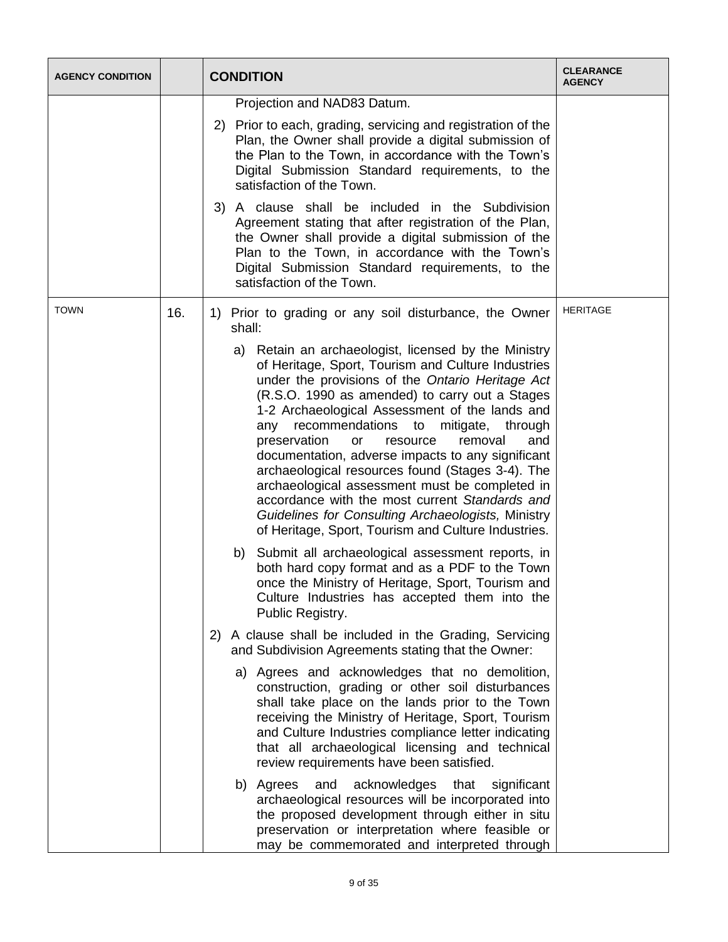| <b>AGENCY CONDITION</b> |     | <b>CONDITION</b>                                                                                                                                                                                                                                                                                                                                                                                                                                                                                                                                                                                                                                                                                      | <b>CLEARANCE</b><br><b>AGENCY</b> |
|-------------------------|-----|-------------------------------------------------------------------------------------------------------------------------------------------------------------------------------------------------------------------------------------------------------------------------------------------------------------------------------------------------------------------------------------------------------------------------------------------------------------------------------------------------------------------------------------------------------------------------------------------------------------------------------------------------------------------------------------------------------|-----------------------------------|
|                         |     | Projection and NAD83 Datum.                                                                                                                                                                                                                                                                                                                                                                                                                                                                                                                                                                                                                                                                           |                                   |
|                         |     | 2) Prior to each, grading, servicing and registration of the<br>Plan, the Owner shall provide a digital submission of<br>the Plan to the Town, in accordance with the Town's<br>Digital Submission Standard requirements, to the<br>satisfaction of the Town.                                                                                                                                                                                                                                                                                                                                                                                                                                         |                                   |
|                         |     | 3) A clause shall be included in the Subdivision<br>Agreement stating that after registration of the Plan,<br>the Owner shall provide a digital submission of the<br>Plan to the Town, in accordance with the Town's<br>Digital Submission Standard requirements, to the<br>satisfaction of the Town.                                                                                                                                                                                                                                                                                                                                                                                                 |                                   |
| <b>TOWN</b>             | 16. | 1) Prior to grading or any soil disturbance, the Owner<br>shall:                                                                                                                                                                                                                                                                                                                                                                                                                                                                                                                                                                                                                                      | <b>HERITAGE</b>                   |
|                         |     | a) Retain an archaeologist, licensed by the Ministry<br>of Heritage, Sport, Tourism and Culture Industries<br>under the provisions of the Ontario Heritage Act<br>(R.S.O. 1990 as amended) to carry out a Stages<br>1-2 Archaeological Assessment of the lands and<br>recommendations to<br>mitigate,<br>through<br>any<br>preservation<br>or<br>resource<br>removal<br>and<br>documentation, adverse impacts to any significant<br>archaeological resources found (Stages 3-4). The<br>archaeological assessment must be completed in<br>accordance with the most current Standards and<br>Guidelines for Consulting Archaeologists, Ministry<br>of Heritage, Sport, Tourism and Culture Industries. |                                   |
|                         |     | Submit all archaeological assessment reports, in<br>b)<br>both hard copy format and as a PDF to the Town<br>once the Ministry of Heritage, Sport, Tourism and<br>Culture Industries has accepted them into the<br>Public Registry.                                                                                                                                                                                                                                                                                                                                                                                                                                                                    |                                   |
|                         |     | 2) A clause shall be included in the Grading, Servicing<br>and Subdivision Agreements stating that the Owner:                                                                                                                                                                                                                                                                                                                                                                                                                                                                                                                                                                                         |                                   |
|                         |     | a) Agrees and acknowledges that no demolition,<br>construction, grading or other soil disturbances<br>shall take place on the lands prior to the Town<br>receiving the Ministry of Heritage, Sport, Tourism<br>and Culture Industries compliance letter indicating<br>that all archaeological licensing and technical<br>review requirements have been satisfied.                                                                                                                                                                                                                                                                                                                                     |                                   |
|                         |     | b) Agrees<br>and<br>acknowledges<br>that<br>significant<br>archaeological resources will be incorporated into<br>the proposed development through either in situ<br>preservation or interpretation where feasible or<br>may be commemorated and interpreted through                                                                                                                                                                                                                                                                                                                                                                                                                                   |                                   |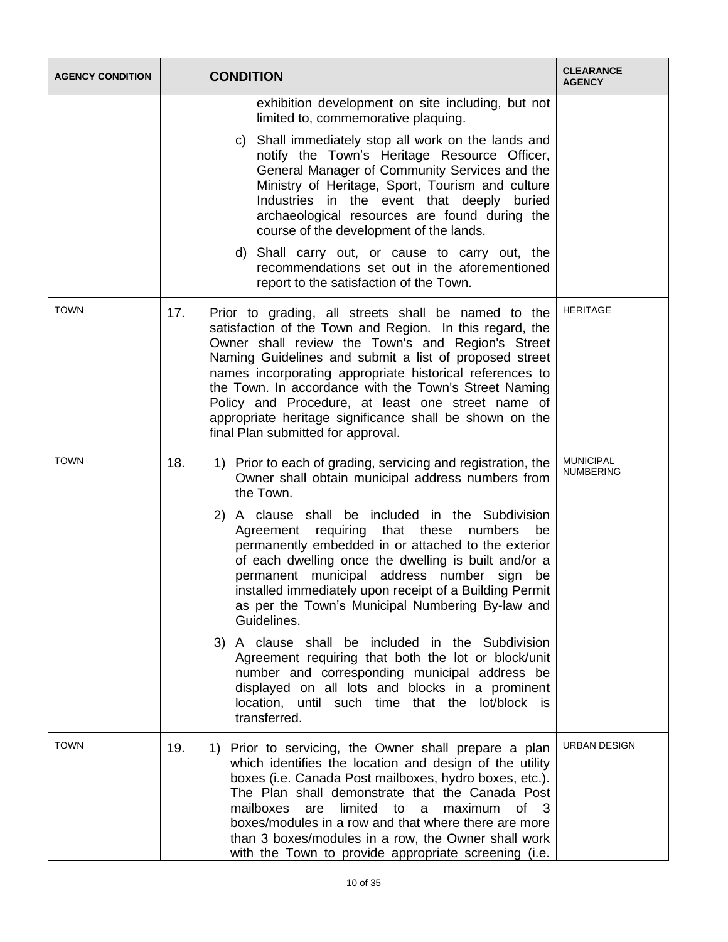| <b>AGENCY CONDITION</b> |     | <b>CONDITION</b>                                                                                                                                                                                                                                                                                                                                                                                                                                                                                          | <b>CLEARANCE</b><br><b>AGENCY</b> |
|-------------------------|-----|-----------------------------------------------------------------------------------------------------------------------------------------------------------------------------------------------------------------------------------------------------------------------------------------------------------------------------------------------------------------------------------------------------------------------------------------------------------------------------------------------------------|-----------------------------------|
|                         |     | exhibition development on site including, but not<br>limited to, commemorative plaquing.                                                                                                                                                                                                                                                                                                                                                                                                                  |                                   |
|                         |     | c) Shall immediately stop all work on the lands and<br>notify the Town's Heritage Resource Officer,<br>General Manager of Community Services and the<br>Ministry of Heritage, Sport, Tourism and culture<br>Industries in the event that deeply buried<br>archaeological resources are found during the<br>course of the development of the lands.                                                                                                                                                        |                                   |
|                         |     | d) Shall carry out, or cause to carry out, the<br>recommendations set out in the aforementioned<br>report to the satisfaction of the Town.                                                                                                                                                                                                                                                                                                                                                                |                                   |
| <b>TOWN</b>             | 17. | Prior to grading, all streets shall be named to the<br>satisfaction of the Town and Region. In this regard, the<br>Owner shall review the Town's and Region's Street<br>Naming Guidelines and submit a list of proposed street<br>names incorporating appropriate historical references to<br>the Town. In accordance with the Town's Street Naming<br>Policy and Procedure, at least one street name of<br>appropriate heritage significance shall be shown on the<br>final Plan submitted for approval. | <b>HERITAGE</b>                   |
| <b>TOWN</b>             | 18. | 1) Prior to each of grading, servicing and registration, the<br>Owner shall obtain municipal address numbers from<br>the Town.                                                                                                                                                                                                                                                                                                                                                                            | <b>MUNICIPAL</b><br>NUMBERING     |
|                         |     | 2) A clause shall be included in the Subdivision<br>Agreement requiring that these numbers<br>be<br>permanently embedded in or attached to the exterior<br>of each dwelling once the dwelling is built and/or a<br>permanent municipal address number sign be<br>installed immediately upon receipt of a Building Permit<br>as per the Town's Municipal Numbering By-law and<br>Guidelines.                                                                                                               |                                   |
|                         |     | 3) A clause shall be included in the Subdivision<br>Agreement requiring that both the lot or block/unit<br>number and corresponding municipal address be<br>displayed on all lots and blocks in a prominent<br>location, until such time that the lot/block is<br>transferred.                                                                                                                                                                                                                            |                                   |
| <b>TOWN</b>             | 19. | Prior to servicing, the Owner shall prepare a plan<br>1)<br>which identifies the location and design of the utility<br>boxes (i.e. Canada Post mailboxes, hydro boxes, etc.).<br>The Plan shall demonstrate that the Canada Post<br>mailboxes<br>limited<br>are<br>maximum<br>of <sub>3</sub><br>to<br>a.<br>boxes/modules in a row and that where there are more<br>than 3 boxes/modules in a row, the Owner shall work<br>with the Town to provide appropriate screening (i.e.                          | URBAN DESIGN                      |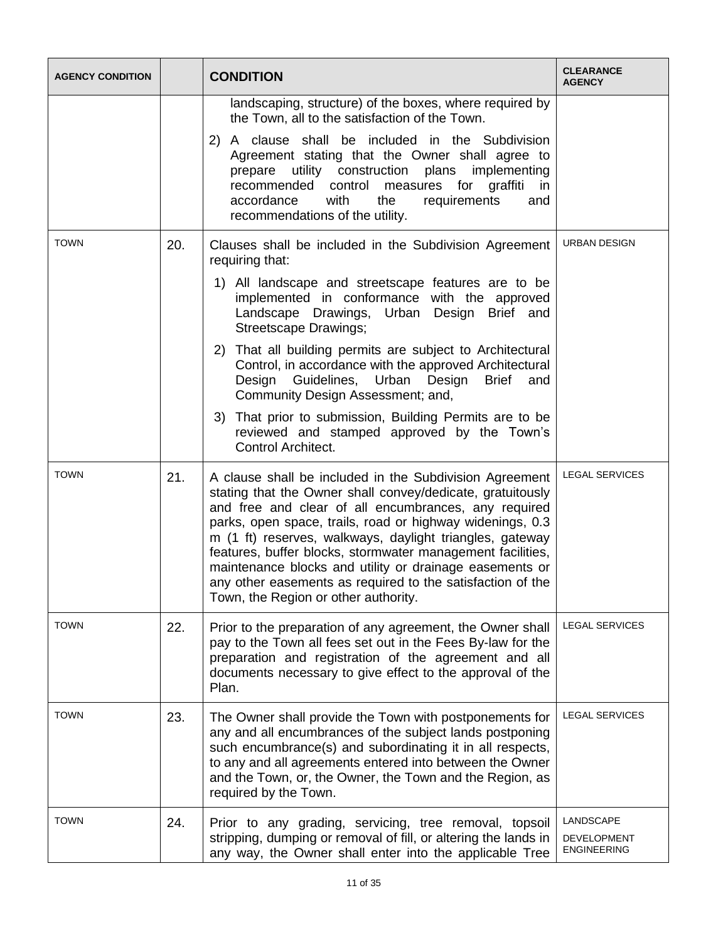| <b>AGENCY CONDITION</b> |     | <b>CONDITION</b>                                                                                                                                                                                                                                                                                                                                                                                                                                                                                                                      | <b>CLEARANCE</b><br><b>AGENCY</b>                     |
|-------------------------|-----|---------------------------------------------------------------------------------------------------------------------------------------------------------------------------------------------------------------------------------------------------------------------------------------------------------------------------------------------------------------------------------------------------------------------------------------------------------------------------------------------------------------------------------------|-------------------------------------------------------|
|                         |     | landscaping, structure) of the boxes, where required by<br>the Town, all to the satisfaction of the Town.                                                                                                                                                                                                                                                                                                                                                                                                                             |                                                       |
|                         |     | 2) A clause shall be included in the Subdivision<br>Agreement stating that the Owner shall agree to<br>prepare utility construction<br>plans<br>implementing<br>control<br>measures for graffiti<br>recommended<br>in in<br>accordance<br>with<br>the<br>requirements<br>and<br>recommendations of the utility.                                                                                                                                                                                                                       |                                                       |
| <b>TOWN</b>             | 20. | Clauses shall be included in the Subdivision Agreement<br>requiring that:                                                                                                                                                                                                                                                                                                                                                                                                                                                             | URBAN DESIGN                                          |
|                         |     | 1) All landscape and streetscape features are to be<br>implemented in conformance with the approved<br>Landscape Drawings, Urban Design Brief and<br>Streetscape Drawings;                                                                                                                                                                                                                                                                                                                                                            |                                                       |
|                         |     | That all building permits are subject to Architectural<br>(2)<br>Control, in accordance with the approved Architectural<br>Design Guidelines, Urban Design<br><b>Brief</b><br>and<br>Community Design Assessment; and,                                                                                                                                                                                                                                                                                                                |                                                       |
|                         |     | 3) That prior to submission, Building Permits are to be<br>reviewed and stamped approved by the Town's<br>Control Architect.                                                                                                                                                                                                                                                                                                                                                                                                          |                                                       |
| <b>TOWN</b>             | 21. | A clause shall be included in the Subdivision Agreement<br>stating that the Owner shall convey/dedicate, gratuitously<br>and free and clear of all encumbrances, any required<br>parks, open space, trails, road or highway widenings, 0.3<br>m (1 ft) reserves, walkways, daylight triangles, gateway<br>features, buffer blocks, stormwater management facilities,<br>maintenance blocks and utility or drainage easements or<br>any other easements as required to the satisfaction of the<br>Town, the Region or other authority. | <b>LEGAL SERVICES</b>                                 |
| <b>TOWN</b>             | 22. | Prior to the preparation of any agreement, the Owner shall<br>pay to the Town all fees set out in the Fees By-law for the<br>preparation and registration of the agreement and all<br>documents necessary to give effect to the approval of the<br>Plan.                                                                                                                                                                                                                                                                              | <b>LEGAL SERVICES</b>                                 |
| <b>TOWN</b>             | 23. | The Owner shall provide the Town with postponements for<br>any and all encumbrances of the subject lands postponing<br>such encumbrance(s) and subordinating it in all respects,<br>to any and all agreements entered into between the Owner<br>and the Town, or, the Owner, the Town and the Region, as<br>required by the Town.                                                                                                                                                                                                     | <b>LEGAL SERVICES</b>                                 |
| <b>TOWN</b>             | 24. | Prior to any grading, servicing, tree removal, topsoil<br>stripping, dumping or removal of fill, or altering the lands in<br>any way, the Owner shall enter into the applicable Tree                                                                                                                                                                                                                                                                                                                                                  | LANDSCAPE<br><b>DEVELOPMENT</b><br><b>ENGINEERING</b> |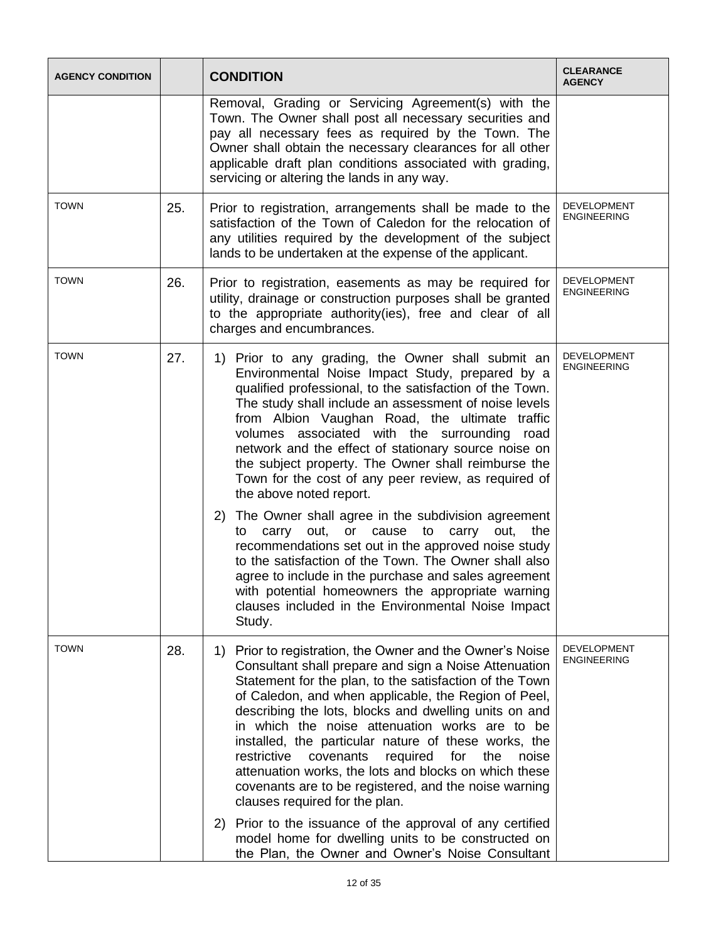| <b>AGENCY CONDITION</b> |     | <b>CONDITION</b>                                                                                                                                                                                                                                                                                                                                                                                                                                                                                                                                                                                                                          | <b>CLEARANCE</b><br><b>AGENCY</b>        |
|-------------------------|-----|-------------------------------------------------------------------------------------------------------------------------------------------------------------------------------------------------------------------------------------------------------------------------------------------------------------------------------------------------------------------------------------------------------------------------------------------------------------------------------------------------------------------------------------------------------------------------------------------------------------------------------------------|------------------------------------------|
|                         |     | Removal, Grading or Servicing Agreement(s) with the<br>Town. The Owner shall post all necessary securities and<br>pay all necessary fees as required by the Town. The<br>Owner shall obtain the necessary clearances for all other<br>applicable draft plan conditions associated with grading,<br>servicing or altering the lands in any way.                                                                                                                                                                                                                                                                                            |                                          |
| <b>TOWN</b>             | 25. | Prior to registration, arrangements shall be made to the<br>satisfaction of the Town of Caledon for the relocation of<br>any utilities required by the development of the subject<br>lands to be undertaken at the expense of the applicant.                                                                                                                                                                                                                                                                                                                                                                                              | DEVELOPMENT<br><b>ENGINEERING</b>        |
| <b>TOWN</b>             | 26. | Prior to registration, easements as may be required for<br>utility, drainage or construction purposes shall be granted<br>to the appropriate authority(ies), free and clear of all<br>charges and encumbrances.                                                                                                                                                                                                                                                                                                                                                                                                                           | <b>DEVELOPMENT</b><br><b>ENGINEERING</b> |
| <b>TOWN</b>             | 27. | Prior to any grading, the Owner shall submit an<br>1)<br>Environmental Noise Impact Study, prepared by a<br>qualified professional, to the satisfaction of the Town.<br>The study shall include an assessment of noise levels<br>from Albion Vaughan Road, the ultimate traffic<br>volumes associated with the surrounding road<br>network and the effect of stationary source noise on<br>the subject property. The Owner shall reimburse the<br>Town for the cost of any peer review, as required of<br>the above noted report.<br>2) The Owner shall agree in the subdivision agreement<br>carry out, or cause to carry out, the<br>to | <b>DEVELOPMENT</b><br><b>ENGINEERING</b> |
|                         |     | recommendations set out in the approved noise study<br>to the satisfaction of the Town. The Owner shall also<br>agree to include in the purchase and sales agreement<br>with potential homeowners the appropriate warning<br>clauses included in the Environmental Noise Impact<br>Study.                                                                                                                                                                                                                                                                                                                                                 |                                          |
| <b>TOWN</b>             | 28. | 1) Prior to registration, the Owner and the Owner's Noise<br>Consultant shall prepare and sign a Noise Attenuation<br>Statement for the plan, to the satisfaction of the Town<br>of Caledon, and when applicable, the Region of Peel,<br>describing the lots, blocks and dwelling units on and<br>in which the noise attenuation works are to be<br>installed, the particular nature of these works, the<br>restrictive<br>covenants<br>required<br>for<br>the<br>noise<br>attenuation works, the lots and blocks on which these<br>covenants are to be registered, and the noise warning<br>clauses required for the plan.               | <b>DEVELOPMENT</b><br><b>ENGINEERING</b> |
|                         |     | Prior to the issuance of the approval of any certified<br>2)<br>model home for dwelling units to be constructed on<br>the Plan, the Owner and Owner's Noise Consultant                                                                                                                                                                                                                                                                                                                                                                                                                                                                    |                                          |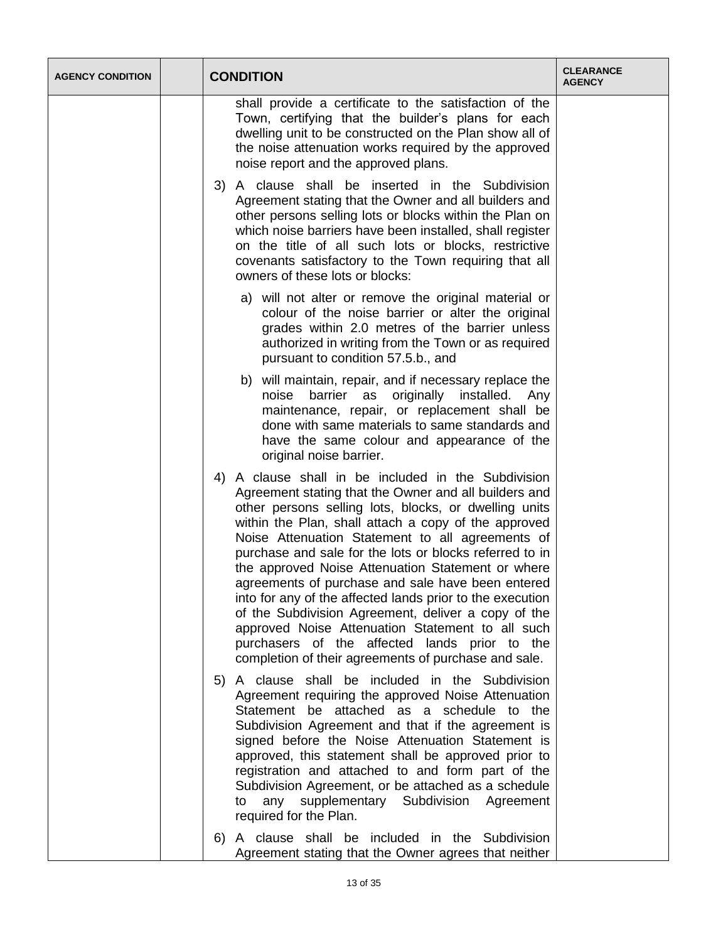| <b>AGENCY CONDITION</b> | <b>CONDITION</b>                                                                                                                                                                                                                                                                                                                                                                                                                                                                                                                                                                                                                                                                                                                        | <b>CLEARANCE</b><br><b>AGENCY</b> |
|-------------------------|-----------------------------------------------------------------------------------------------------------------------------------------------------------------------------------------------------------------------------------------------------------------------------------------------------------------------------------------------------------------------------------------------------------------------------------------------------------------------------------------------------------------------------------------------------------------------------------------------------------------------------------------------------------------------------------------------------------------------------------------|-----------------------------------|
|                         | shall provide a certificate to the satisfaction of the<br>Town, certifying that the builder's plans for each<br>dwelling unit to be constructed on the Plan show all of<br>the noise attenuation works required by the approved<br>noise report and the approved plans.                                                                                                                                                                                                                                                                                                                                                                                                                                                                 |                                   |
|                         | 3) A clause shall be inserted in the Subdivision<br>Agreement stating that the Owner and all builders and<br>other persons selling lots or blocks within the Plan on<br>which noise barriers have been installed, shall register<br>on the title of all such lots or blocks, restrictive<br>covenants satisfactory to the Town requiring that all<br>owners of these lots or blocks:                                                                                                                                                                                                                                                                                                                                                    |                                   |
|                         | a) will not alter or remove the original material or<br>colour of the noise barrier or alter the original<br>grades within 2.0 metres of the barrier unless<br>authorized in writing from the Town or as required<br>pursuant to condition 57.5.b., and                                                                                                                                                                                                                                                                                                                                                                                                                                                                                 |                                   |
|                         | b) will maintain, repair, and if necessary replace the<br>barrier as originally installed. Any<br>noise<br>maintenance, repair, or replacement shall be<br>done with same materials to same standards and<br>have the same colour and appearance of the<br>original noise barrier.                                                                                                                                                                                                                                                                                                                                                                                                                                                      |                                   |
|                         | 4) A clause shall in be included in the Subdivision<br>Agreement stating that the Owner and all builders and<br>other persons selling lots, blocks, or dwelling units<br>within the Plan, shall attach a copy of the approved<br>Noise Attenuation Statement to all agreements of<br>purchase and sale for the lots or blocks referred to in<br>the approved Noise Attenuation Statement or where<br>agreements of purchase and sale have been entered<br>into for any of the affected lands prior to the execution<br>of the Subdivision Agreement, deliver a copy of the<br>approved Noise Attenuation Statement to all such<br>purchasers of the affected lands prior to the<br>completion of their agreements of purchase and sale. |                                   |
|                         | 5) A clause shall be included in the Subdivision<br>Agreement requiring the approved Noise Attenuation<br>Statement be attached as a schedule to the<br>Subdivision Agreement and that if the agreement is<br>signed before the Noise Attenuation Statement is<br>approved, this statement shall be approved prior to<br>registration and attached to and form part of the<br>Subdivision Agreement, or be attached as a schedule<br>any supplementary Subdivision Agreement<br>to<br>required for the Plan.                                                                                                                                                                                                                            |                                   |
|                         | 6) A clause shall be included in the Subdivision<br>Agreement stating that the Owner agrees that neither                                                                                                                                                                                                                                                                                                                                                                                                                                                                                                                                                                                                                                |                                   |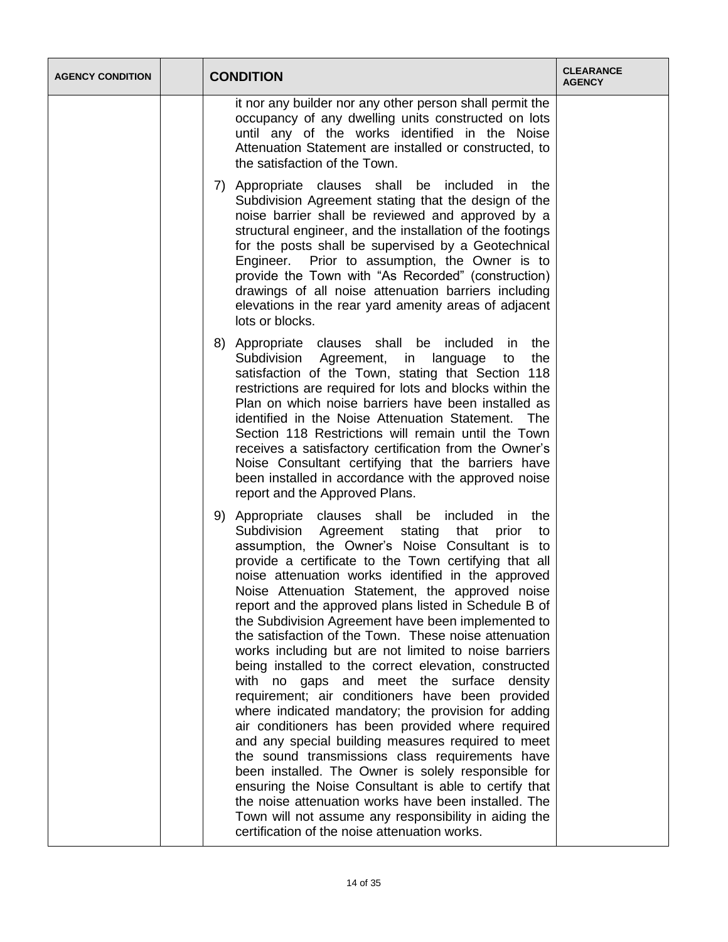| <b>AGENCY CONDITION</b> | <b>CONDITION</b>                                                                                                                                                                                                                                                                                                                                                                                                                                                                                                                                                                                                                                                                                                                                                                                                                                                                                                                                                                                                                                                                                                                                                                                                           | <b>CLEARANCE</b><br><b>AGENCY</b> |
|-------------------------|----------------------------------------------------------------------------------------------------------------------------------------------------------------------------------------------------------------------------------------------------------------------------------------------------------------------------------------------------------------------------------------------------------------------------------------------------------------------------------------------------------------------------------------------------------------------------------------------------------------------------------------------------------------------------------------------------------------------------------------------------------------------------------------------------------------------------------------------------------------------------------------------------------------------------------------------------------------------------------------------------------------------------------------------------------------------------------------------------------------------------------------------------------------------------------------------------------------------------|-----------------------------------|
|                         | it nor any builder nor any other person shall permit the<br>occupancy of any dwelling units constructed on lots<br>until any of the works identified in the Noise<br>Attenuation Statement are installed or constructed, to<br>the satisfaction of the Town.                                                                                                                                                                                                                                                                                                                                                                                                                                                                                                                                                                                                                                                                                                                                                                                                                                                                                                                                                               |                                   |
|                         | 7) Appropriate clauses shall be included in the<br>Subdivision Agreement stating that the design of the<br>noise barrier shall be reviewed and approved by a<br>structural engineer, and the installation of the footings<br>for the posts shall be supervised by a Geotechnical<br>Engineer. Prior to assumption, the Owner is to<br>provide the Town with "As Recorded" (construction)<br>drawings of all noise attenuation barriers including<br>elevations in the rear yard amenity areas of adjacent<br>lots or blocks.                                                                                                                                                                                                                                                                                                                                                                                                                                                                                                                                                                                                                                                                                               |                                   |
|                         | 8) Appropriate clauses shall be included in<br>the<br>Subdivision Agreement, in language<br>the<br>to<br>satisfaction of the Town, stating that Section 118<br>restrictions are required for lots and blocks within the<br>Plan on which noise barriers have been installed as<br>identified in the Noise Attenuation Statement.<br>The<br>Section 118 Restrictions will remain until the Town<br>receives a satisfactory certification from the Owner's<br>Noise Consultant certifying that the barriers have<br>been installed in accordance with the approved noise<br>report and the Approved Plans.                                                                                                                                                                                                                                                                                                                                                                                                                                                                                                                                                                                                                   |                                   |
|                         | 9) Appropriate clauses shall be included in the<br>Subdivision<br>Agreement stating that prior<br>to<br>assumption, the Owner's Noise Consultant is to<br>provide a certificate to the Town certifying that all<br>noise attenuation works identified in the approved<br>Noise Attenuation Statement, the approved noise<br>report and the approved plans listed in Schedule B of<br>the Subdivision Agreement have been implemented to<br>the satisfaction of the Town. These noise attenuation<br>works including but are not limited to noise barriers<br>being installed to the correct elevation, constructed<br>with no gaps and meet the surface density<br>requirement; air conditioners have been provided<br>where indicated mandatory; the provision for adding<br>air conditioners has been provided where required<br>and any special building measures required to meet<br>the sound transmissions class requirements have<br>been installed. The Owner is solely responsible for<br>ensuring the Noise Consultant is able to certify that<br>the noise attenuation works have been installed. The<br>Town will not assume any responsibility in aiding the<br>certification of the noise attenuation works. |                                   |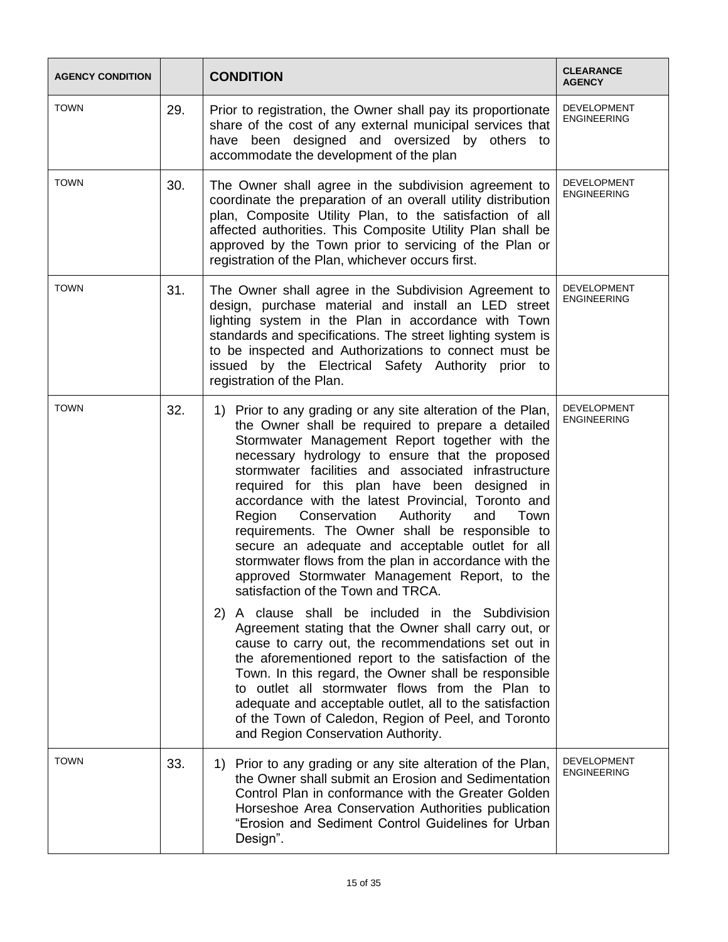| <b>AGENCY CONDITION</b> |     | <b>CONDITION</b>                                                                                                                                                                                                                                                                                                                                                                                                                                                                                                                                                                                                                                                                                                                                                                                                                                                                                                                                                                                                                                                                                                                                                                                 | <b>CLEARANCE</b><br><b>AGENCY</b>        |
|-------------------------|-----|--------------------------------------------------------------------------------------------------------------------------------------------------------------------------------------------------------------------------------------------------------------------------------------------------------------------------------------------------------------------------------------------------------------------------------------------------------------------------------------------------------------------------------------------------------------------------------------------------------------------------------------------------------------------------------------------------------------------------------------------------------------------------------------------------------------------------------------------------------------------------------------------------------------------------------------------------------------------------------------------------------------------------------------------------------------------------------------------------------------------------------------------------------------------------------------------------|------------------------------------------|
| <b>TOWN</b>             | 29. | Prior to registration, the Owner shall pay its proportionate<br>share of the cost of any external municipal services that<br>have been designed and oversized by others to<br>accommodate the development of the plan                                                                                                                                                                                                                                                                                                                                                                                                                                                                                                                                                                                                                                                                                                                                                                                                                                                                                                                                                                            | <b>DEVELOPMENT</b><br>ENGINEERING        |
| <b>TOWN</b>             | 30. | The Owner shall agree in the subdivision agreement to<br>coordinate the preparation of an overall utility distribution<br>plan, Composite Utility Plan, to the satisfaction of all<br>affected authorities. This Composite Utility Plan shall be<br>approved by the Town prior to servicing of the Plan or<br>registration of the Plan, whichever occurs first.                                                                                                                                                                                                                                                                                                                                                                                                                                                                                                                                                                                                                                                                                                                                                                                                                                  | <b>DEVELOPMENT</b><br><b>ENGINEERING</b> |
| <b>TOWN</b>             | 31. | The Owner shall agree in the Subdivision Agreement to<br>design, purchase material and install an LED street<br>lighting system in the Plan in accordance with Town<br>standards and specifications. The street lighting system is<br>to be inspected and Authorizations to connect must be<br>issued by the Electrical Safety Authority prior to<br>registration of the Plan.                                                                                                                                                                                                                                                                                                                                                                                                                                                                                                                                                                                                                                                                                                                                                                                                                   | <b>DEVELOPMENT</b><br><b>ENGINEERING</b> |
| <b>TOWN</b>             | 32. | 1) Prior to any grading or any site alteration of the Plan,<br>the Owner shall be required to prepare a detailed<br>Stormwater Management Report together with the<br>necessary hydrology to ensure that the proposed<br>stormwater facilities and associated infrastructure<br>required for this plan have been designed in<br>accordance with the latest Provincial, Toronto and<br>Conservation<br>Authority<br>and<br>Region<br>Town<br>requirements. The Owner shall be responsible to<br>secure an adequate and acceptable outlet for all<br>stormwater flows from the plan in accordance with the<br>approved Stormwater Management Report, to the<br>satisfaction of the Town and TRCA.<br>A clause shall be included in the Subdivision<br>(2)<br>Agreement stating that the Owner shall carry out, or<br>cause to carry out, the recommendations set out in<br>the aforementioned report to the satisfaction of the<br>Town. In this regard, the Owner shall be responsible<br>to outlet all stormwater flows from the Plan to<br>adequate and acceptable outlet, all to the satisfaction<br>of the Town of Caledon, Region of Peel, and Toronto<br>and Region Conservation Authority. | <b>DEVELOPMENT</b><br><b>ENGINEERING</b> |
| <b>TOWN</b>             | 33. | 1) Prior to any grading or any site alteration of the Plan,<br>the Owner shall submit an Erosion and Sedimentation<br>Control Plan in conformance with the Greater Golden<br>Horseshoe Area Conservation Authorities publication<br>"Erosion and Sediment Control Guidelines for Urban<br>Design".                                                                                                                                                                                                                                                                                                                                                                                                                                                                                                                                                                                                                                                                                                                                                                                                                                                                                               | <b>DEVELOPMENT</b><br><b>ENGINEERING</b> |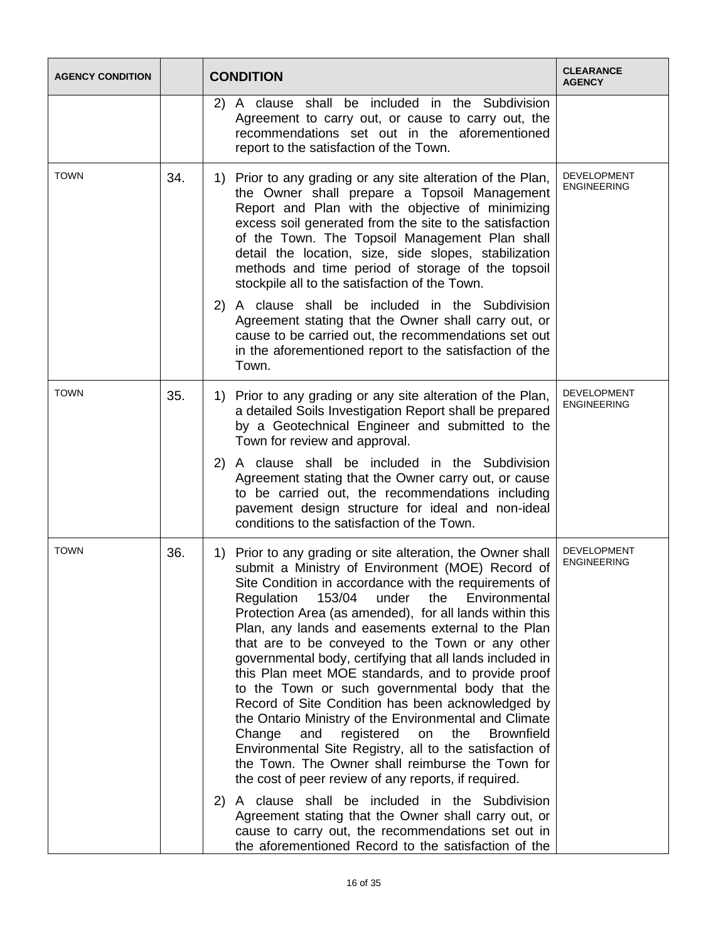| <b>AGENCY CONDITION</b> |     | <b>CONDITION</b>                                                                                                                                                                                                                                                                                                                                                                                                                                                                                                                                                                                                                                                                                                                                                                                                                                                                                                                 | <b>CLEARANCE</b><br><b>AGENCY</b>        |
|-------------------------|-----|----------------------------------------------------------------------------------------------------------------------------------------------------------------------------------------------------------------------------------------------------------------------------------------------------------------------------------------------------------------------------------------------------------------------------------------------------------------------------------------------------------------------------------------------------------------------------------------------------------------------------------------------------------------------------------------------------------------------------------------------------------------------------------------------------------------------------------------------------------------------------------------------------------------------------------|------------------------------------------|
|                         |     | A clause shall be included in the Subdivision<br>2)<br>Agreement to carry out, or cause to carry out, the<br>recommendations set out in the aforementioned<br>report to the satisfaction of the Town.                                                                                                                                                                                                                                                                                                                                                                                                                                                                                                                                                                                                                                                                                                                            |                                          |
| <b>TOWN</b>             | 34. | 1) Prior to any grading or any site alteration of the Plan,<br>the Owner shall prepare a Topsoil Management<br>Report and Plan with the objective of minimizing<br>excess soil generated from the site to the satisfaction<br>of the Town. The Topsoil Management Plan shall<br>detail the location, size, side slopes, stabilization<br>methods and time period of storage of the topsoil<br>stockpile all to the satisfaction of the Town.                                                                                                                                                                                                                                                                                                                                                                                                                                                                                     | <b>DEVELOPMENT</b><br><b>ENGINEERING</b> |
|                         |     | 2) A clause shall be included in the Subdivision<br>Agreement stating that the Owner shall carry out, or<br>cause to be carried out, the recommendations set out<br>in the aforementioned report to the satisfaction of the<br>Town.                                                                                                                                                                                                                                                                                                                                                                                                                                                                                                                                                                                                                                                                                             |                                          |
| <b>TOWN</b>             | 35. | 1) Prior to any grading or any site alteration of the Plan,<br>a detailed Soils Investigation Report shall be prepared<br>by a Geotechnical Engineer and submitted to the<br>Town for review and approval.<br>2) A clause shall be included in the Subdivision                                                                                                                                                                                                                                                                                                                                                                                                                                                                                                                                                                                                                                                                   | DEVELOPMENT<br><b>ENGINEERING</b>        |
|                         |     | Agreement stating that the Owner carry out, or cause<br>to be carried out, the recommendations including<br>pavement design structure for ideal and non-ideal<br>conditions to the satisfaction of the Town.                                                                                                                                                                                                                                                                                                                                                                                                                                                                                                                                                                                                                                                                                                                     |                                          |
| <b>TOWN</b>             | 36. | 1) Prior to any grading or site alteration, the Owner shall<br>submit a Ministry of Environment (MOE) Record of<br>Site Condition in accordance with the requirements of<br>153/04<br>the<br>Regulation<br>under<br>Environmental<br>Protection Area (as amended), for all lands within this<br>Plan, any lands and easements external to the Plan<br>that are to be conveyed to the Town or any other<br>governmental body, certifying that all lands included in<br>this Plan meet MOE standards, and to provide proof<br>to the Town or such governmental body that the<br>Record of Site Condition has been acknowledged by<br>the Ontario Ministry of the Environmental and Climate<br>Change<br>registered<br>the<br><b>Brownfield</b><br>and<br>on<br>Environmental Site Registry, all to the satisfaction of<br>the Town. The Owner shall reimburse the Town for<br>the cost of peer review of any reports, if required. | <b>DEVELOPMENT</b><br><b>ENGINEERING</b> |
|                         |     | 2) A clause shall be included in the Subdivision<br>Agreement stating that the Owner shall carry out, or<br>cause to carry out, the recommendations set out in<br>the aforementioned Record to the satisfaction of the                                                                                                                                                                                                                                                                                                                                                                                                                                                                                                                                                                                                                                                                                                           |                                          |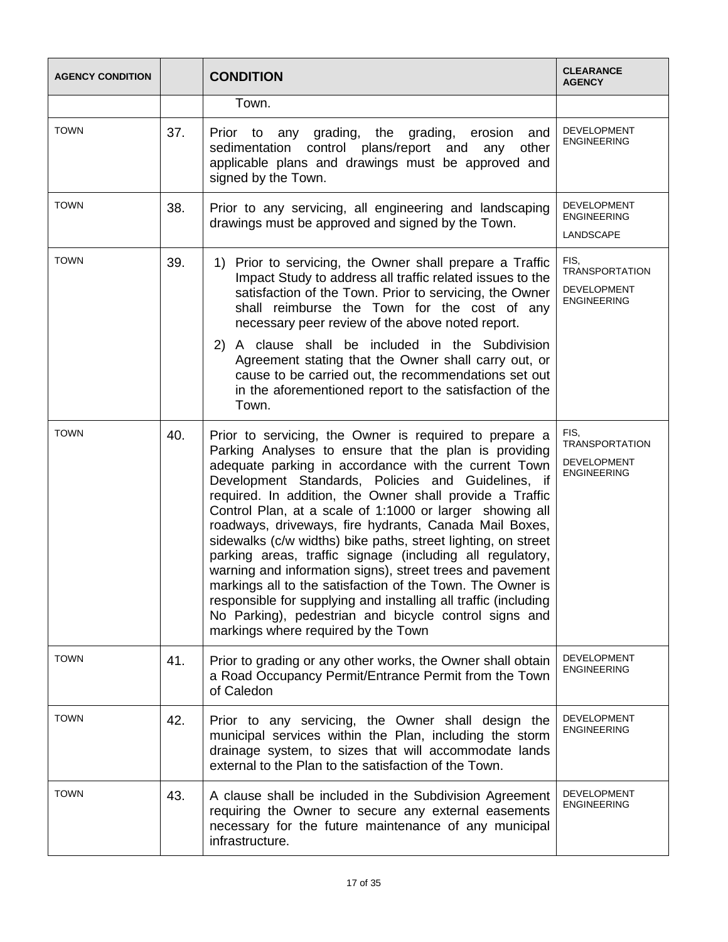| <b>AGENCY CONDITION</b> |     | <b>CONDITION</b>                                                                                                                                                                                                                                                                                                                                                                                                                                                                                                                                                                                                                                                                                                                                                                                                                            | <b>CLEARANCE</b><br><b>AGENCY</b>                                         |
|-------------------------|-----|---------------------------------------------------------------------------------------------------------------------------------------------------------------------------------------------------------------------------------------------------------------------------------------------------------------------------------------------------------------------------------------------------------------------------------------------------------------------------------------------------------------------------------------------------------------------------------------------------------------------------------------------------------------------------------------------------------------------------------------------------------------------------------------------------------------------------------------------|---------------------------------------------------------------------------|
|                         |     | Town.                                                                                                                                                                                                                                                                                                                                                                                                                                                                                                                                                                                                                                                                                                                                                                                                                                       |                                                                           |
| <b>TOWN</b>             | 37. | Prior to any grading, the grading, erosion<br>and<br>sedimentation control plans/report and<br>any<br>other<br>applicable plans and drawings must be approved and<br>signed by the Town.                                                                                                                                                                                                                                                                                                                                                                                                                                                                                                                                                                                                                                                    | <b>DEVELOPMENT</b><br><b>ENGINEERING</b>                                  |
| <b>TOWN</b>             | 38. | Prior to any servicing, all engineering and landscaping<br>drawings must be approved and signed by the Town.                                                                                                                                                                                                                                                                                                                                                                                                                                                                                                                                                                                                                                                                                                                                | <b>DEVELOPMENT</b><br><b>ENGINEERING</b><br>LANDSCAPE                     |
| <b>TOWN</b>             | 39. | Prior to servicing, the Owner shall prepare a Traffic<br>1)<br>Impact Study to address all traffic related issues to the<br>satisfaction of the Town. Prior to servicing, the Owner<br>shall reimburse the Town for the cost of any<br>necessary peer review of the above noted report.<br>2) A clause shall be included in the Subdivision<br>Agreement stating that the Owner shall carry out, or<br>cause to be carried out, the recommendations set out<br>in the aforementioned report to the satisfaction of the<br>Town.                                                                                                                                                                                                                                                                                                             | FIS.<br><b>TRANSPORTATION</b><br>DEVELOPMENT<br><b>ENGINEERING</b>        |
| <b>TOWN</b>             | 40. | Prior to servicing, the Owner is required to prepare a<br>Parking Analyses to ensure that the plan is providing<br>adequate parking in accordance with the current Town<br>Development Standards, Policies and Guidelines, if<br>required. In addition, the Owner shall provide a Traffic<br>Control Plan, at a scale of 1:1000 or larger showing all<br>roadways, driveways, fire hydrants, Canada Mail Boxes,<br>sidewalks (c/w widths) bike paths, street lighting, on street<br>parking areas, traffic signage (including all regulatory,<br>warning and information signs), street trees and pavement<br>markings all to the satisfaction of the Town. The Owner is<br>responsible for supplying and installing all traffic (including<br>No Parking), pedestrian and bicycle control signs and<br>markings where required by the Town | FIS.<br><b>TRANSPORTATION</b><br><b>DEVELOPMENT</b><br><b>ENGINEERING</b> |
| <b>TOWN</b>             | 41. | Prior to grading or any other works, the Owner shall obtain<br>a Road Occupancy Permit/Entrance Permit from the Town<br>of Caledon                                                                                                                                                                                                                                                                                                                                                                                                                                                                                                                                                                                                                                                                                                          | <b>DEVELOPMENT</b><br><b>ENGINEERING</b>                                  |
| <b>TOWN</b>             | 42. | Prior to any servicing, the Owner shall design the<br>municipal services within the Plan, including the storm<br>drainage system, to sizes that will accommodate lands<br>external to the Plan to the satisfaction of the Town.                                                                                                                                                                                                                                                                                                                                                                                                                                                                                                                                                                                                             | <b>DEVELOPMENT</b><br><b>ENGINEERING</b>                                  |
| <b>TOWN</b>             | 43. | A clause shall be included in the Subdivision Agreement<br>requiring the Owner to secure any external easements<br>necessary for the future maintenance of any municipal<br>infrastructure.                                                                                                                                                                                                                                                                                                                                                                                                                                                                                                                                                                                                                                                 | <b>DEVELOPMENT</b><br><b>ENGINEERING</b>                                  |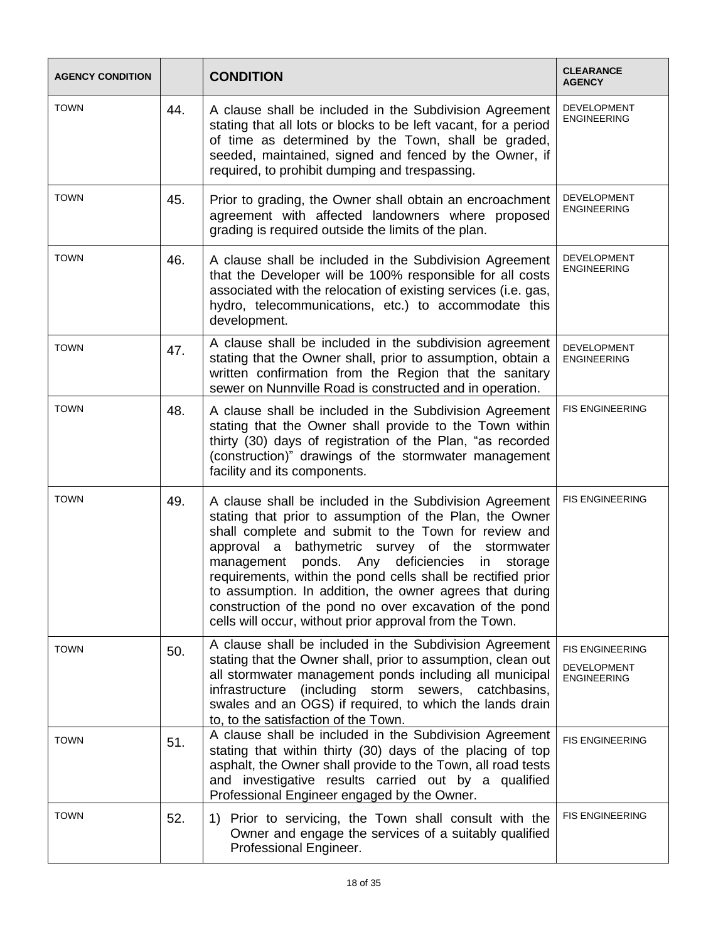| <b>AGENCY CONDITION</b> |     | <b>CONDITION</b>                                                                                                                                                                                                                                                                                                                                                                                                                                                                                                                       | <b>CLEARANCE</b><br><b>AGENCY</b>                                  |
|-------------------------|-----|----------------------------------------------------------------------------------------------------------------------------------------------------------------------------------------------------------------------------------------------------------------------------------------------------------------------------------------------------------------------------------------------------------------------------------------------------------------------------------------------------------------------------------------|--------------------------------------------------------------------|
| <b>TOWN</b>             | 44. | A clause shall be included in the Subdivision Agreement<br>stating that all lots or blocks to be left vacant, for a period<br>of time as determined by the Town, shall be graded,<br>seeded, maintained, signed and fenced by the Owner, if<br>required, to prohibit dumping and trespassing.                                                                                                                                                                                                                                          | DEVELOPMENT<br><b>ENGINEERING</b>                                  |
| <b>TOWN</b>             | 45. | Prior to grading, the Owner shall obtain an encroachment<br>agreement with affected landowners where proposed<br>grading is required outside the limits of the plan.                                                                                                                                                                                                                                                                                                                                                                   | DEVELOPMENT<br><b>ENGINEERING</b>                                  |
| <b>TOWN</b>             | 46. | A clause shall be included in the Subdivision Agreement<br>that the Developer will be 100% responsible for all costs<br>associated with the relocation of existing services (i.e. gas,<br>hydro, telecommunications, etc.) to accommodate this<br>development.                                                                                                                                                                                                                                                                         | <b>DEVELOPMENT</b><br><b>ENGINEERING</b>                           |
| <b>TOWN</b>             | 47. | A clause shall be included in the subdivision agreement<br>stating that the Owner shall, prior to assumption, obtain a<br>written confirmation from the Region that the sanitary<br>sewer on Nunnville Road is constructed and in operation.                                                                                                                                                                                                                                                                                           | <b>DEVELOPMENT</b><br><b>ENGINEERING</b>                           |
| <b>TOWN</b>             | 48. | A clause shall be included in the Subdivision Agreement<br>stating that the Owner shall provide to the Town within<br>thirty (30) days of registration of the Plan, "as recorded<br>(construction)" drawings of the stormwater management<br>facility and its components.                                                                                                                                                                                                                                                              | <b>FIS ENGINEERING</b>                                             |
| <b>TOWN</b>             | 49. | A clause shall be included in the Subdivision Agreement<br>stating that prior to assumption of the Plan, the Owner<br>shall complete and submit to the Town for review and<br>approval a bathymetric survey of the stormwater<br>management ponds. Any deficiencies<br>in<br>storage<br>requirements, within the pond cells shall be rectified prior<br>to assumption. In addition, the owner agrees that during<br>construction of the pond no over excavation of the pond<br>cells will occur, without prior approval from the Town. | <b>FIS ENGINEERING</b>                                             |
| <b>TOWN</b>             | 50. | A clause shall be included in the Subdivision Agreement<br>stating that the Owner shall, prior to assumption, clean out<br>all stormwater management ponds including all municipal<br>(including storm sewers, catchbasins,<br>infrastructure<br>swales and an OGS) if required, to which the lands drain<br>to, to the satisfaction of the Town.                                                                                                                                                                                      | <b>FIS ENGINEERING</b><br><b>DEVELOPMENT</b><br><b>ENGINEERING</b> |
| <b>TOWN</b>             | 51. | A clause shall be included in the Subdivision Agreement<br>stating that within thirty (30) days of the placing of top<br>asphalt, the Owner shall provide to the Town, all road tests<br>and investigative results carried out by a qualified<br>Professional Engineer engaged by the Owner.                                                                                                                                                                                                                                           | FIS ENGINEERING                                                    |
| <b>TOWN</b>             | 52. | 1) Prior to servicing, the Town shall consult with the<br>Owner and engage the services of a suitably qualified<br>Professional Engineer.                                                                                                                                                                                                                                                                                                                                                                                              | <b>FIS ENGINEERING</b>                                             |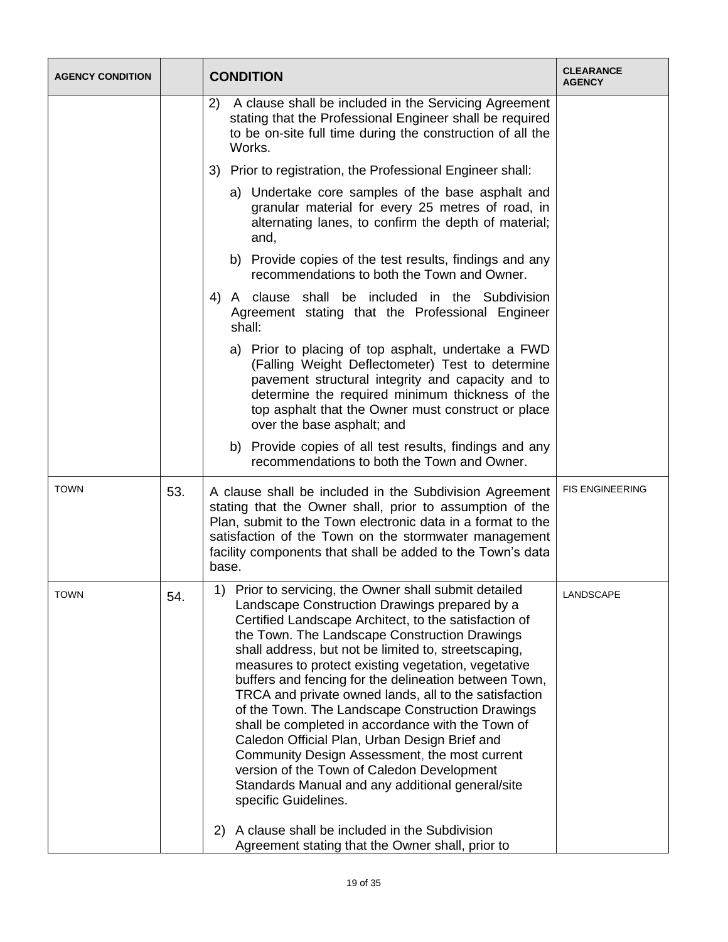| <b>AGENCY CONDITION</b> |     | <b>CONDITION</b>                                                                                                                                                                                                                                                                                                                                                                                                                                                                                                                                                                                                                                                                                                                                                                                                                                                                                   | <b>CLEARANCE</b><br><b>AGENCY</b> |
|-------------------------|-----|----------------------------------------------------------------------------------------------------------------------------------------------------------------------------------------------------------------------------------------------------------------------------------------------------------------------------------------------------------------------------------------------------------------------------------------------------------------------------------------------------------------------------------------------------------------------------------------------------------------------------------------------------------------------------------------------------------------------------------------------------------------------------------------------------------------------------------------------------------------------------------------------------|-----------------------------------|
|                         |     | A clause shall be included in the Servicing Agreement<br>2)<br>stating that the Professional Engineer shall be required<br>to be on-site full time during the construction of all the<br>Works.                                                                                                                                                                                                                                                                                                                                                                                                                                                                                                                                                                                                                                                                                                    |                                   |
|                         |     | Prior to registration, the Professional Engineer shall:<br>3)                                                                                                                                                                                                                                                                                                                                                                                                                                                                                                                                                                                                                                                                                                                                                                                                                                      |                                   |
|                         |     | a) Undertake core samples of the base asphalt and<br>granular material for every 25 metres of road, in<br>alternating lanes, to confirm the depth of material;<br>and,                                                                                                                                                                                                                                                                                                                                                                                                                                                                                                                                                                                                                                                                                                                             |                                   |
|                         |     | b) Provide copies of the test results, findings and any<br>recommendations to both the Town and Owner.                                                                                                                                                                                                                                                                                                                                                                                                                                                                                                                                                                                                                                                                                                                                                                                             |                                   |
|                         |     | 4) A clause shall be included in the Subdivision<br>Agreement stating that the Professional Engineer<br>shall:                                                                                                                                                                                                                                                                                                                                                                                                                                                                                                                                                                                                                                                                                                                                                                                     |                                   |
|                         |     | a) Prior to placing of top asphalt, undertake a FWD<br>(Falling Weight Deflectometer) Test to determine<br>pavement structural integrity and capacity and to<br>determine the required minimum thickness of the<br>top asphalt that the Owner must construct or place<br>over the base asphalt; and                                                                                                                                                                                                                                                                                                                                                                                                                                                                                                                                                                                                |                                   |
|                         |     | b) Provide copies of all test results, findings and any<br>recommendations to both the Town and Owner.                                                                                                                                                                                                                                                                                                                                                                                                                                                                                                                                                                                                                                                                                                                                                                                             |                                   |
| <b>TOWN</b>             | 53. | A clause shall be included in the Subdivision Agreement<br>stating that the Owner shall, prior to assumption of the<br>Plan, submit to the Town electronic data in a format to the<br>satisfaction of the Town on the stormwater management<br>facility components that shall be added to the Town's data<br>base.                                                                                                                                                                                                                                                                                                                                                                                                                                                                                                                                                                                 | <b>FIS ENGINEERING</b>            |
| <b>TOWN</b>             | 54. | 1) Prior to servicing, the Owner shall submit detailed<br>Landscape Construction Drawings prepared by a<br>Certified Landscape Architect, to the satisfaction of<br>the Town. The Landscape Construction Drawings<br>shall address, but not be limited to, streetscaping,<br>measures to protect existing vegetation, vegetative<br>buffers and fencing for the delineation between Town,<br>TRCA and private owned lands, all to the satisfaction<br>of the Town. The Landscape Construction Drawings<br>shall be completed in accordance with the Town of<br>Caledon Official Plan, Urban Design Brief and<br>Community Design Assessment, the most current<br>version of the Town of Caledon Development<br>Standards Manual and any additional general/site<br>specific Guidelines.<br>A clause shall be included in the Subdivision<br>2)<br>Agreement stating that the Owner shall, prior to | LANDSCAPE                         |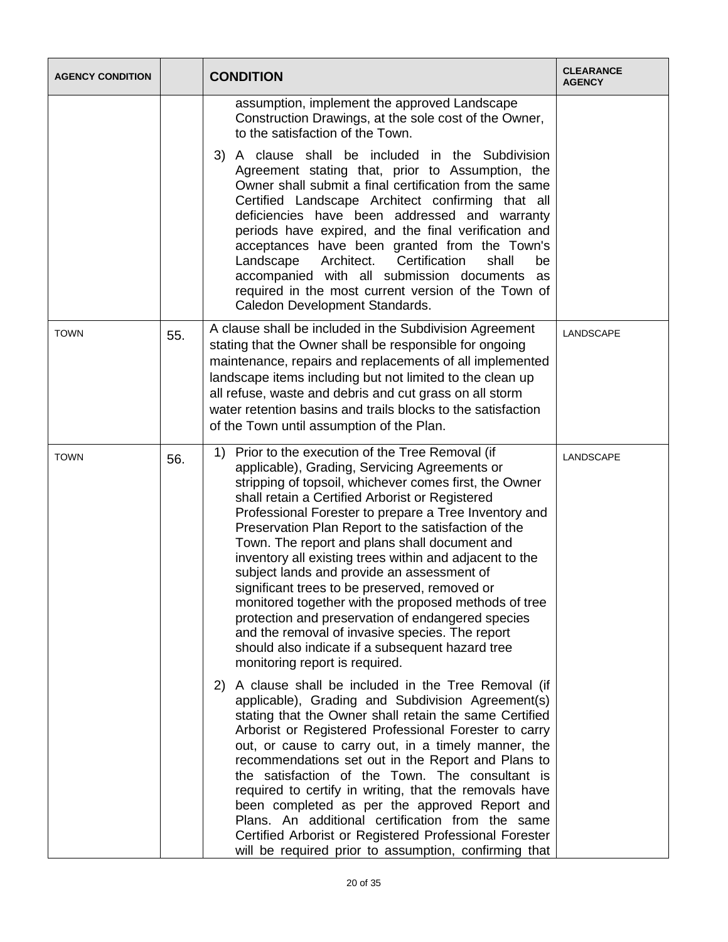| <b>AGENCY CONDITION</b> |     | <b>CONDITION</b>                                                                                                                                                                                                                                                                                                                                                                                                                                                                                                                                                                                                                                                                                                                                                                                    | <b>CLEARANCE</b><br><b>AGENCY</b> |
|-------------------------|-----|-----------------------------------------------------------------------------------------------------------------------------------------------------------------------------------------------------------------------------------------------------------------------------------------------------------------------------------------------------------------------------------------------------------------------------------------------------------------------------------------------------------------------------------------------------------------------------------------------------------------------------------------------------------------------------------------------------------------------------------------------------------------------------------------------------|-----------------------------------|
|                         |     | assumption, implement the approved Landscape<br>Construction Drawings, at the sole cost of the Owner,<br>to the satisfaction of the Town.                                                                                                                                                                                                                                                                                                                                                                                                                                                                                                                                                                                                                                                           |                                   |
|                         |     | 3) A clause shall be included in the Subdivision<br>Agreement stating that, prior to Assumption, the<br>Owner shall submit a final certification from the same<br>Certified Landscape Architect confirming that all<br>deficiencies have been addressed and warranty<br>periods have expired, and the final verification and<br>acceptances have been granted from the Town's<br>Certification<br>Landscape<br>Architect.<br>shall<br>be<br>accompanied with all submission documents as<br>required in the most current version of the Town of<br>Caledon Development Standards.                                                                                                                                                                                                                   |                                   |
| <b>TOWN</b>             | 55. | A clause shall be included in the Subdivision Agreement<br>stating that the Owner shall be responsible for ongoing<br>maintenance, repairs and replacements of all implemented<br>landscape items including but not limited to the clean up<br>all refuse, waste and debris and cut grass on all storm<br>water retention basins and trails blocks to the satisfaction<br>of the Town until assumption of the Plan.                                                                                                                                                                                                                                                                                                                                                                                 | <b>LANDSCAPE</b>                  |
| <b>TOWN</b>             | 56. | Prior to the execution of the Tree Removal (if<br>1)<br>applicable), Grading, Servicing Agreements or<br>stripping of topsoil, whichever comes first, the Owner<br>shall retain a Certified Arborist or Registered<br>Professional Forester to prepare a Tree Inventory and<br>Preservation Plan Report to the satisfaction of the<br>Town. The report and plans shall document and<br>inventory all existing trees within and adjacent to the<br>subject lands and provide an assessment of<br>significant trees to be preserved, removed or<br>monitored together with the proposed methods of tree<br>protection and preservation of endangered species<br>and the removal of invasive species. The report<br>should also indicate if a subsequent hazard tree<br>monitoring report is required. | LANDSCAPE                         |
|                         |     | A clause shall be included in the Tree Removal (if<br>2)<br>applicable), Grading and Subdivision Agreement(s)<br>stating that the Owner shall retain the same Certified<br>Arborist or Registered Professional Forester to carry<br>out, or cause to carry out, in a timely manner, the<br>recommendations set out in the Report and Plans to<br>the satisfaction of the Town. The consultant is<br>required to certify in writing, that the removals have<br>been completed as per the approved Report and<br>Plans. An additional certification from the same<br>Certified Arborist or Registered Professional Forester<br>will be required prior to assumption, confirming that                                                                                                                  |                                   |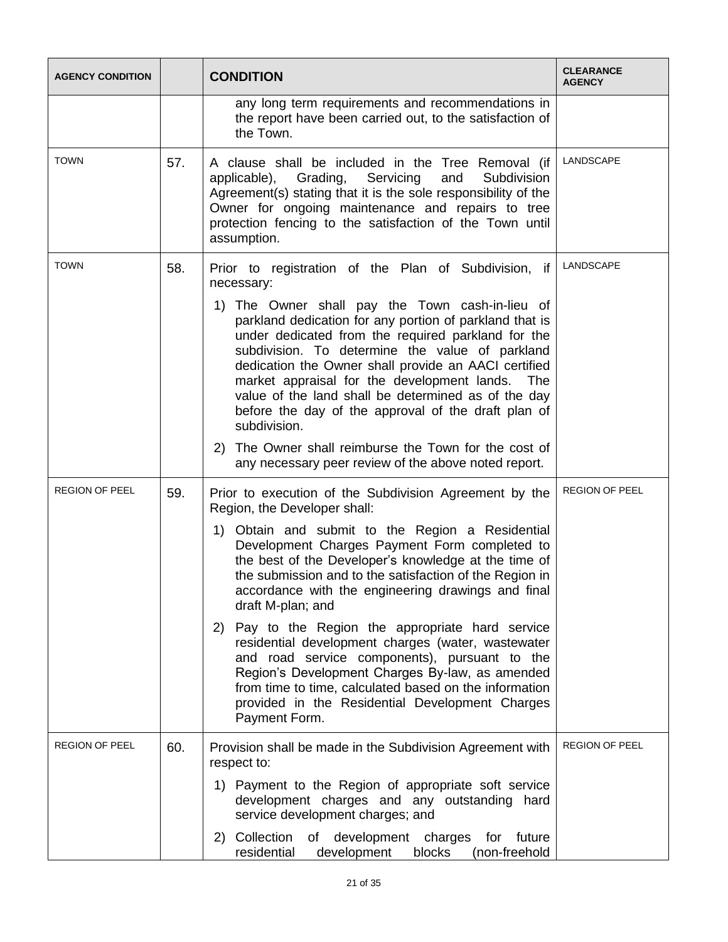| <b>AGENCY CONDITION</b> |     | <b>CONDITION</b>                                                                                                                                                                                                                                                                                                                                                                                                                                                   | <b>CLEARANCE</b><br><b>AGENCY</b> |
|-------------------------|-----|--------------------------------------------------------------------------------------------------------------------------------------------------------------------------------------------------------------------------------------------------------------------------------------------------------------------------------------------------------------------------------------------------------------------------------------------------------------------|-----------------------------------|
|                         |     | any long term requirements and recommendations in<br>the report have been carried out, to the satisfaction of<br>the Town.                                                                                                                                                                                                                                                                                                                                         |                                   |
| <b>TOWN</b>             | 57. | A clause shall be included in the Tree Removal (if<br>applicable), Grading, Servicing<br>and<br>Subdivision<br>Agreement(s) stating that it is the sole responsibility of the<br>Owner for ongoing maintenance and repairs to tree<br>protection fencing to the satisfaction of the Town until<br>assumption.                                                                                                                                                      | LANDSCAPE                         |
| <b>TOWN</b>             | 58. | Prior to registration of the Plan of Subdivision, if<br>necessary:                                                                                                                                                                                                                                                                                                                                                                                                 | LANDSCAPE                         |
|                         |     | The Owner shall pay the Town cash-in-lieu of<br>1)<br>parkland dedication for any portion of parkland that is<br>under dedicated from the required parkland for the<br>subdivision. To determine the value of parkland<br>dedication the Owner shall provide an AACI certified<br>market appraisal for the development lands.<br>The<br>value of the land shall be determined as of the day<br>before the day of the approval of the draft plan of<br>subdivision. |                                   |
|                         |     | 2) The Owner shall reimburse the Town for the cost of<br>any necessary peer review of the above noted report.                                                                                                                                                                                                                                                                                                                                                      |                                   |
| REGION OF PEEL          | 59. | Prior to execution of the Subdivision Agreement by the<br>Region, the Developer shall:                                                                                                                                                                                                                                                                                                                                                                             | <b>REGION OF PEEL</b>             |
|                         |     | 1) Obtain and submit to the Region a Residential<br>Development Charges Payment Form completed to<br>the best of the Developer's knowledge at the time of<br>the submission and to the satisfaction of the Region in<br>accordance with the engineering drawings and final<br>draft M-plan; and                                                                                                                                                                    |                                   |
|                         |     | Pay to the Region the appropriate hard service<br>2)<br>residential development charges (water, wastewater<br>and road service components), pursuant to the<br>Region's Development Charges By-law, as amended<br>from time to time, calculated based on the information<br>provided in the Residential Development Charges<br>Payment Form.                                                                                                                       |                                   |
| <b>REGION OF PEEL</b>   | 60. | Provision shall be made in the Subdivision Agreement with<br>respect to:                                                                                                                                                                                                                                                                                                                                                                                           | <b>REGION OF PEEL</b>             |
|                         |     | 1) Payment to the Region of appropriate soft service<br>development charges and any outstanding hard<br>service development charges; and                                                                                                                                                                                                                                                                                                                           |                                   |
|                         |     | 2) Collection<br>of development charges<br>for<br>future<br>residential<br>development<br>blocks<br>(non-freehold                                                                                                                                                                                                                                                                                                                                                  |                                   |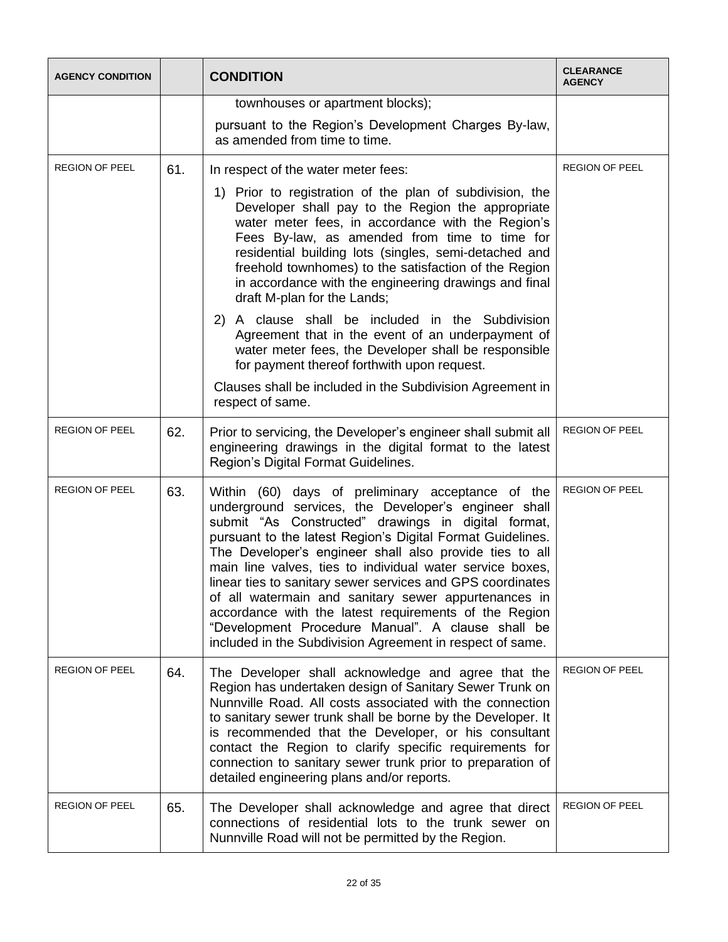| <b>AGENCY CONDITION</b> |     | <b>CONDITION</b>                                                                                                                                                                                                                                                                                                                                                                                                                                                                                                                                                                                                                                        | <b>CLEARANCE</b><br><b>AGENCY</b> |
|-------------------------|-----|---------------------------------------------------------------------------------------------------------------------------------------------------------------------------------------------------------------------------------------------------------------------------------------------------------------------------------------------------------------------------------------------------------------------------------------------------------------------------------------------------------------------------------------------------------------------------------------------------------------------------------------------------------|-----------------------------------|
|                         |     | townhouses or apartment blocks);                                                                                                                                                                                                                                                                                                                                                                                                                                                                                                                                                                                                                        |                                   |
|                         |     | pursuant to the Region's Development Charges By-law,<br>as amended from time to time.                                                                                                                                                                                                                                                                                                                                                                                                                                                                                                                                                                   |                                   |
| <b>REGION OF PEEL</b>   | 61. | In respect of the water meter fees:                                                                                                                                                                                                                                                                                                                                                                                                                                                                                                                                                                                                                     | <b>REGION OF PEEL</b>             |
|                         |     | 1) Prior to registration of the plan of subdivision, the<br>Developer shall pay to the Region the appropriate<br>water meter fees, in accordance with the Region's<br>Fees By-law, as amended from time to time for<br>residential building lots (singles, semi-detached and<br>freehold townhomes) to the satisfaction of the Region<br>in accordance with the engineering drawings and final<br>draft M-plan for the Lands;                                                                                                                                                                                                                           |                                   |
|                         |     | 2) A clause shall be included in the Subdivision<br>Agreement that in the event of an underpayment of<br>water meter fees, the Developer shall be responsible<br>for payment thereof forthwith upon request.                                                                                                                                                                                                                                                                                                                                                                                                                                            |                                   |
|                         |     | Clauses shall be included in the Subdivision Agreement in<br>respect of same.                                                                                                                                                                                                                                                                                                                                                                                                                                                                                                                                                                           |                                   |
| <b>REGION OF PEEL</b>   | 62. | Prior to servicing, the Developer's engineer shall submit all<br>engineering drawings in the digital format to the latest<br>Region's Digital Format Guidelines.                                                                                                                                                                                                                                                                                                                                                                                                                                                                                        | <b>REGION OF PEEL</b>             |
| <b>REGION OF PEEL</b>   | 63. | Within (60) days of preliminary acceptance of the<br>underground services, the Developer's engineer shall<br>submit "As Constructed" drawings in digital format,<br>pursuant to the latest Region's Digital Format Guidelines.<br>The Developer's engineer shall also provide ties to all<br>main line valves, ties to individual water service boxes,<br>linear ties to sanitary sewer services and GPS coordinates<br>of all watermain and sanitary sewer appurtenances in<br>accordance with the latest requirements of the Region<br>"Development Procedure Manual". A clause shall be<br>included in the Subdivision Agreement in respect of same. | <b>REGION OF PEEL</b>             |
| <b>REGION OF PEEL</b>   | 64. | The Developer shall acknowledge and agree that the<br>Region has undertaken design of Sanitary Sewer Trunk on<br>Nunnville Road. All costs associated with the connection<br>to sanitary sewer trunk shall be borne by the Developer. It<br>is recommended that the Developer, or his consultant<br>contact the Region to clarify specific requirements for<br>connection to sanitary sewer trunk prior to preparation of<br>detailed engineering plans and/or reports.                                                                                                                                                                                 | <b>REGION OF PEEL</b>             |
| <b>REGION OF PEEL</b>   | 65. | The Developer shall acknowledge and agree that direct<br>connections of residential lots to the trunk sewer on<br>Nunnville Road will not be permitted by the Region.                                                                                                                                                                                                                                                                                                                                                                                                                                                                                   | <b>REGION OF PEEL</b>             |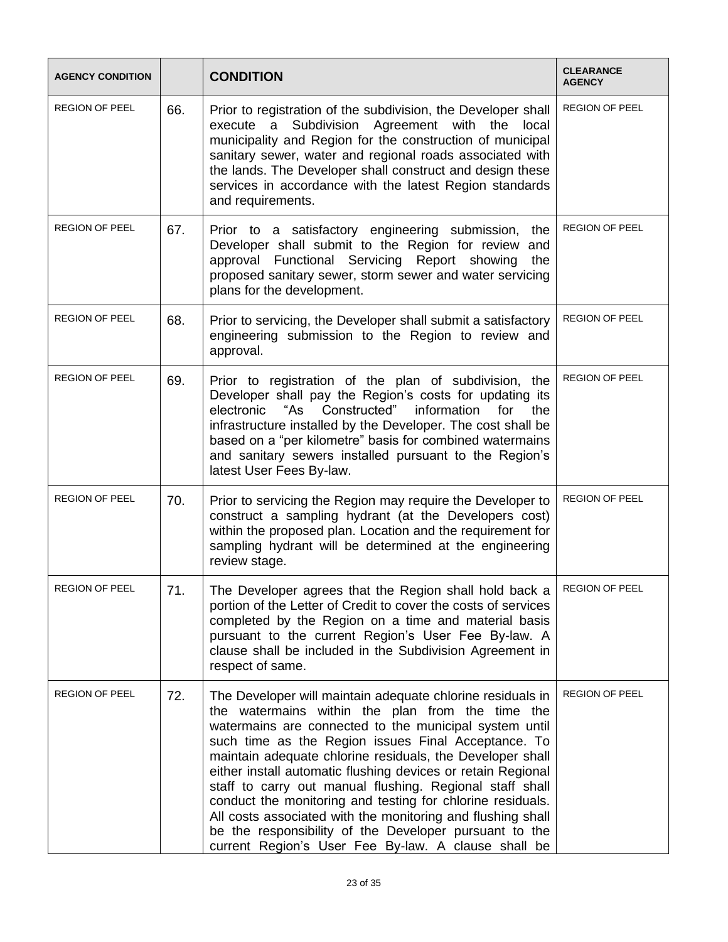| <b>AGENCY CONDITION</b> |     | <b>CONDITION</b>                                                                                                                                                                                                                                                                                                                                                                                                                                                                                                                                                                                                                                                       | <b>CLEARANCE</b><br><b>AGENCY</b> |
|-------------------------|-----|------------------------------------------------------------------------------------------------------------------------------------------------------------------------------------------------------------------------------------------------------------------------------------------------------------------------------------------------------------------------------------------------------------------------------------------------------------------------------------------------------------------------------------------------------------------------------------------------------------------------------------------------------------------------|-----------------------------------|
| <b>REGION OF PEEL</b>   | 66. | Prior to registration of the subdivision, the Developer shall<br>execute a Subdivision Agreement with the local<br>municipality and Region for the construction of municipal<br>sanitary sewer, water and regional roads associated with<br>the lands. The Developer shall construct and design these<br>services in accordance with the latest Region standards<br>and requirements.                                                                                                                                                                                                                                                                                  | <b>REGION OF PEEL</b>             |
| <b>REGION OF PEEL</b>   | 67. | Prior to a satisfactory engineering submission,<br>the<br>Developer shall submit to the Region for review<br>and<br>approval Functional Servicing Report showing<br>the<br>proposed sanitary sewer, storm sewer and water servicing<br>plans for the development.                                                                                                                                                                                                                                                                                                                                                                                                      | <b>REGION OF PEEL</b>             |
| <b>REGION OF PEEL</b>   | 68. | Prior to servicing, the Developer shall submit a satisfactory<br>engineering submission to the Region to review and<br>approval.                                                                                                                                                                                                                                                                                                                                                                                                                                                                                                                                       | <b>REGION OF PEEL</b>             |
| <b>REGION OF PEEL</b>   | 69. | Prior to registration of the plan of subdivision, the<br>Developer shall pay the Region's costs for updating its<br>"As Constructed"<br>information for<br>electronic<br>the<br>infrastructure installed by the Developer. The cost shall be<br>based on a "per kilometre" basis for combined watermains<br>and sanitary sewers installed pursuant to the Region's<br>latest User Fees By-law.                                                                                                                                                                                                                                                                         | <b>REGION OF PEEL</b>             |
| <b>REGION OF PEEL</b>   | 70. | Prior to servicing the Region may require the Developer to<br>construct a sampling hydrant (at the Developers cost)<br>within the proposed plan. Location and the requirement for<br>sampling hydrant will be determined at the engineering<br>review stage.                                                                                                                                                                                                                                                                                                                                                                                                           | <b>REGION OF PEEL</b>             |
| <b>REGION OF PEEL</b>   | 71. | The Developer agrees that the Region shall hold back a<br>portion of the Letter of Credit to cover the costs of services<br>completed by the Region on a time and material basis<br>pursuant to the current Region's User Fee By-law. A<br>clause shall be included in the Subdivision Agreement in<br>respect of same.                                                                                                                                                                                                                                                                                                                                                | <b>REGION OF PEEL</b>             |
| <b>REGION OF PEEL</b>   | 72. | The Developer will maintain adequate chlorine residuals in<br>the watermains within the plan from the time the<br>watermains are connected to the municipal system until<br>such time as the Region issues Final Acceptance. To<br>maintain adequate chlorine residuals, the Developer shall<br>either install automatic flushing devices or retain Regional<br>staff to carry out manual flushing. Regional staff shall<br>conduct the monitoring and testing for chlorine residuals.<br>All costs associated with the monitoring and flushing shall<br>be the responsibility of the Developer pursuant to the<br>current Region's User Fee By-law. A clause shall be | <b>REGION OF PEEL</b>             |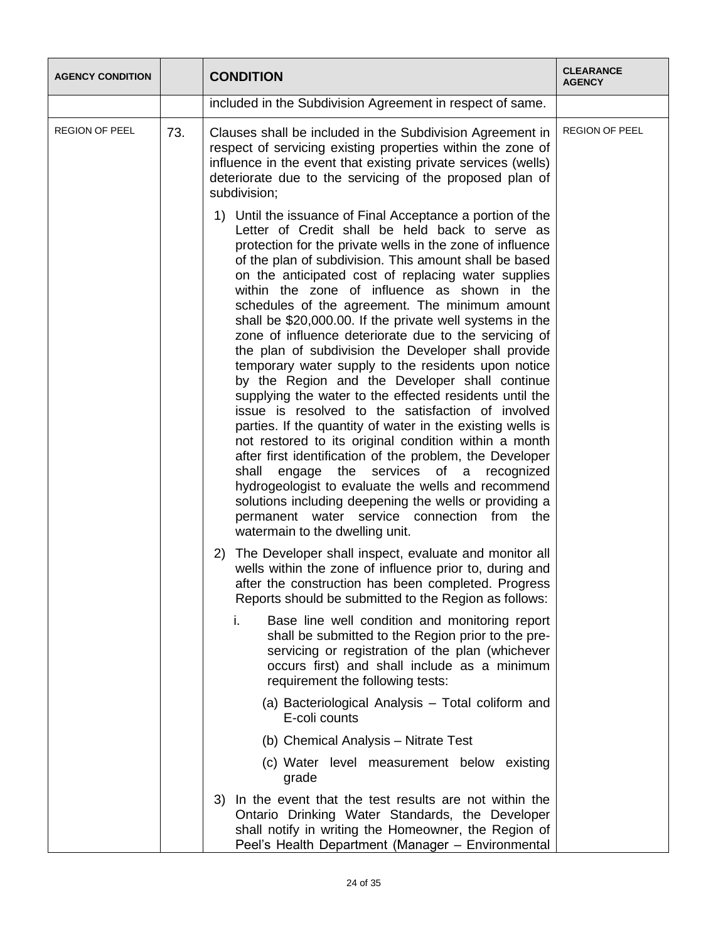| <b>AGENCY CONDITION</b> |     | <b>CONDITION</b>                                                                                                                                                                                                                                                                                                                                                                                                                                                                                                                                                                                                                                                                                                                                                                                                                                                                                                                                                                                                                                                                                                                                                                                                                                 | <b>CLEARANCE</b><br><b>AGENCY</b> |  |  |  |  |  |                                                                                                                                                                                                                                        |  |  |  |  |  |  |  |  |                                                                    |  |  |                                                                                                                                                                                                                                                    |  |
|-------------------------|-----|--------------------------------------------------------------------------------------------------------------------------------------------------------------------------------------------------------------------------------------------------------------------------------------------------------------------------------------------------------------------------------------------------------------------------------------------------------------------------------------------------------------------------------------------------------------------------------------------------------------------------------------------------------------------------------------------------------------------------------------------------------------------------------------------------------------------------------------------------------------------------------------------------------------------------------------------------------------------------------------------------------------------------------------------------------------------------------------------------------------------------------------------------------------------------------------------------------------------------------------------------|-----------------------------------|--|--|--|--|--|----------------------------------------------------------------------------------------------------------------------------------------------------------------------------------------------------------------------------------------|--|--|--|--|--|--|--|--|--------------------------------------------------------------------|--|--|----------------------------------------------------------------------------------------------------------------------------------------------------------------------------------------------------------------------------------------------------|--|
|                         |     | included in the Subdivision Agreement in respect of same.                                                                                                                                                                                                                                                                                                                                                                                                                                                                                                                                                                                                                                                                                                                                                                                                                                                                                                                                                                                                                                                                                                                                                                                        |                                   |  |  |  |  |  |                                                                                                                                                                                                                                        |  |  |  |  |  |  |  |  |                                                                    |  |  |                                                                                                                                                                                                                                                    |  |
| <b>REGION OF PEEL</b>   | 73. | Clauses shall be included in the Subdivision Agreement in<br>respect of servicing existing properties within the zone of<br>influence in the event that existing private services (wells)<br>deteriorate due to the servicing of the proposed plan of<br>subdivision;                                                                                                                                                                                                                                                                                                                                                                                                                                                                                                                                                                                                                                                                                                                                                                                                                                                                                                                                                                            | <b>REGION OF PEEL</b>             |  |  |  |  |  |                                                                                                                                                                                                                                        |  |  |  |  |  |  |  |  |                                                                    |  |  |                                                                                                                                                                                                                                                    |  |
|                         |     | 1) Until the issuance of Final Acceptance a portion of the<br>Letter of Credit shall be held back to serve as<br>protection for the private wells in the zone of influence<br>of the plan of subdivision. This amount shall be based<br>on the anticipated cost of replacing water supplies<br>within the zone of influence as shown in the<br>schedules of the agreement. The minimum amount<br>shall be \$20,000.00. If the private well systems in the<br>zone of influence deteriorate due to the servicing of<br>the plan of subdivision the Developer shall provide<br>temporary water supply to the residents upon notice<br>by the Region and the Developer shall continue<br>supplying the water to the effected residents until the<br>issue is resolved to the satisfaction of involved<br>parties. If the quantity of water in the existing wells is<br>not restored to its original condition within a month<br>after first identification of the problem, the Developer<br>shall<br>the<br>services of a<br>engage<br>recognized<br>hydrogeologist to evaluate the wells and recommend<br>solutions including deepening the wells or providing a<br>permanent water service connection from the<br>watermain to the dwelling unit. |                                   |  |  |  |  |  |                                                                                                                                                                                                                                        |  |  |  |  |  |  |  |  |                                                                    |  |  |                                                                                                                                                                                                                                                    |  |
|                         |     |                                                                                                                                                                                                                                                                                                                                                                                                                                                                                                                                                                                                                                                                                                                                                                                                                                                                                                                                                                                                                                                                                                                                                                                                                                                  |                                   |  |  |  |  |  | The Developer shall inspect, evaluate and monitor all<br>2)<br>wells within the zone of influence prior to, during and<br>after the construction has been completed. Progress<br>Reports should be submitted to the Region as follows: |  |  |  |  |  |  |  |  |                                                                    |  |  |                                                                                                                                                                                                                                                    |  |
|                         |     |                                                                                                                                                                                                                                                                                                                                                                                                                                                                                                                                                                                                                                                                                                                                                                                                                                                                                                                                                                                                                                                                                                                                                                                                                                                  |                                   |  |  |  |  |  |                                                                                                                                                                                                                                        |  |  |  |  |  |  |  |  |                                                                    |  |  | Base line well condition and monitoring report<br>i.<br>shall be submitted to the Region prior to the pre-<br>servicing or registration of the plan (whichever<br>occurs first) and shall include as a minimum<br>requirement the following tests: |  |
|                         |     |                                                                                                                                                                                                                                                                                                                                                                                                                                                                                                                                                                                                                                                                                                                                                                                                                                                                                                                                                                                                                                                                                                                                                                                                                                                  |                                   |  |  |  |  |  |                                                                                                                                                                                                                                        |  |  |  |  |  |  |  |  | (a) Bacteriological Analysis - Total coliform and<br>E-coli counts |  |  |                                                                                                                                                                                                                                                    |  |
|                         |     | (b) Chemical Analysis - Nitrate Test                                                                                                                                                                                                                                                                                                                                                                                                                                                                                                                                                                                                                                                                                                                                                                                                                                                                                                                                                                                                                                                                                                                                                                                                             |                                   |  |  |  |  |  |                                                                                                                                                                                                                                        |  |  |  |  |  |  |  |  |                                                                    |  |  |                                                                                                                                                                                                                                                    |  |
|                         |     | (c) Water level measurement below existing<br>grade                                                                                                                                                                                                                                                                                                                                                                                                                                                                                                                                                                                                                                                                                                                                                                                                                                                                                                                                                                                                                                                                                                                                                                                              |                                   |  |  |  |  |  |                                                                                                                                                                                                                                        |  |  |  |  |  |  |  |  |                                                                    |  |  |                                                                                                                                                                                                                                                    |  |
|                         |     | In the event that the test results are not within the<br>3)<br>Ontario Drinking Water Standards, the Developer<br>shall notify in writing the Homeowner, the Region of<br>Peel's Health Department (Manager - Environmental                                                                                                                                                                                                                                                                                                                                                                                                                                                                                                                                                                                                                                                                                                                                                                                                                                                                                                                                                                                                                      |                                   |  |  |  |  |  |                                                                                                                                                                                                                                        |  |  |  |  |  |  |  |  |                                                                    |  |  |                                                                                                                                                                                                                                                    |  |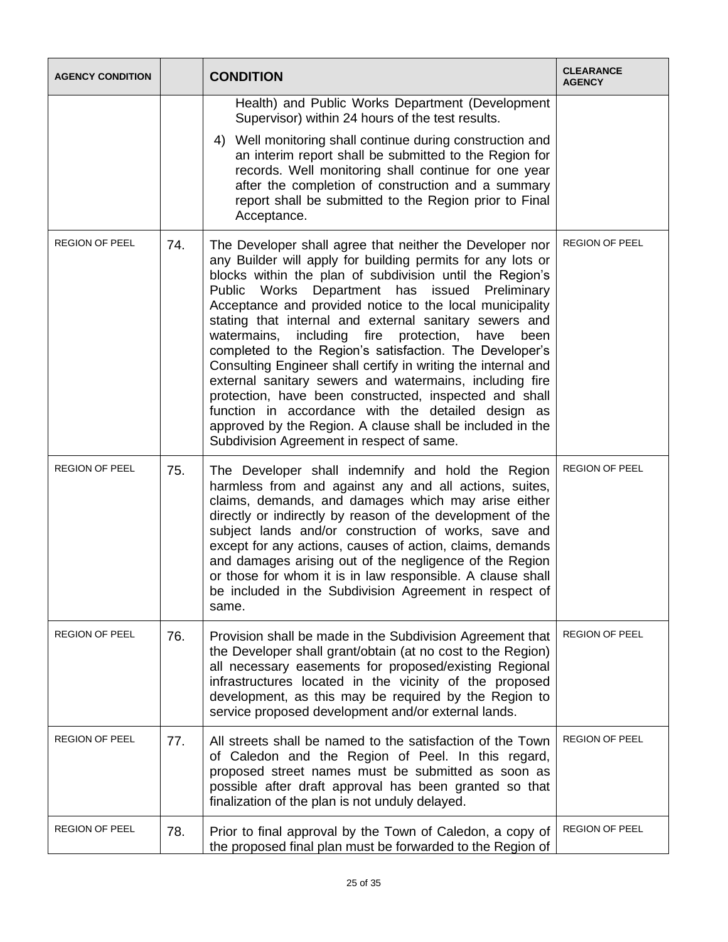| <b>AGENCY CONDITION</b> |     | <b>CONDITION</b>                                                                                                                                                                                                                                                                                                                                                                                                                                                                                                                                                                                                                                                                                                                                                                                                                          | <b>CLEARANCE</b><br><b>AGENCY</b> |
|-------------------------|-----|-------------------------------------------------------------------------------------------------------------------------------------------------------------------------------------------------------------------------------------------------------------------------------------------------------------------------------------------------------------------------------------------------------------------------------------------------------------------------------------------------------------------------------------------------------------------------------------------------------------------------------------------------------------------------------------------------------------------------------------------------------------------------------------------------------------------------------------------|-----------------------------------|
|                         |     | Health) and Public Works Department (Development<br>Supervisor) within 24 hours of the test results.                                                                                                                                                                                                                                                                                                                                                                                                                                                                                                                                                                                                                                                                                                                                      |                                   |
|                         |     | 4) Well monitoring shall continue during construction and<br>an interim report shall be submitted to the Region for<br>records. Well monitoring shall continue for one year<br>after the completion of construction and a summary<br>report shall be submitted to the Region prior to Final<br>Acceptance.                                                                                                                                                                                                                                                                                                                                                                                                                                                                                                                                |                                   |
| <b>REGION OF PEEL</b>   | 74. | The Developer shall agree that neither the Developer nor<br>any Builder will apply for building permits for any lots or<br>blocks within the plan of subdivision until the Region's<br>Public Works Department has issued Preliminary<br>Acceptance and provided notice to the local municipality<br>stating that internal and external sanitary sewers and<br>including fire<br>watermains,<br>protection, have<br>been<br>completed to the Region's satisfaction. The Developer's<br>Consulting Engineer shall certify in writing the internal and<br>external sanitary sewers and watermains, including fire<br>protection, have been constructed, inspected and shall<br>function in accordance with the detailed design as<br>approved by the Region. A clause shall be included in the<br>Subdivision Agreement in respect of same. | <b>REGION OF PEEL</b>             |
| <b>REGION OF PEEL</b>   | 75. | The Developer shall indemnify and hold the Region<br>harmless from and against any and all actions, suites,<br>claims, demands, and damages which may arise either<br>directly or indirectly by reason of the development of the<br>subject lands and/or construction of works, save and<br>except for any actions, causes of action, claims, demands<br>and damages arising out of the negligence of the Region<br>or those for whom it is in law responsible. A clause shall<br>be included in the Subdivision Agreement in respect of<br>same.                                                                                                                                                                                                                                                                                         | <b>REGION OF PEEL</b>             |
| <b>REGION OF PEEL</b>   | 76. | Provision shall be made in the Subdivision Agreement that<br>the Developer shall grant/obtain (at no cost to the Region)<br>all necessary easements for proposed/existing Regional<br>infrastructures located in the vicinity of the proposed<br>development, as this may be required by the Region to<br>service proposed development and/or external lands.                                                                                                                                                                                                                                                                                                                                                                                                                                                                             | REGION OF PEEL                    |
| <b>REGION OF PEEL</b>   | 77. | All streets shall be named to the satisfaction of the Town<br>of Caledon and the Region of Peel. In this regard,<br>proposed street names must be submitted as soon as<br>possible after draft approval has been granted so that<br>finalization of the plan is not unduly delayed.                                                                                                                                                                                                                                                                                                                                                                                                                                                                                                                                                       | <b>REGION OF PEEL</b>             |
| <b>REGION OF PEEL</b>   | 78. | Prior to final approval by the Town of Caledon, a copy of<br>the proposed final plan must be forwarded to the Region of                                                                                                                                                                                                                                                                                                                                                                                                                                                                                                                                                                                                                                                                                                                   | <b>REGION OF PEEL</b>             |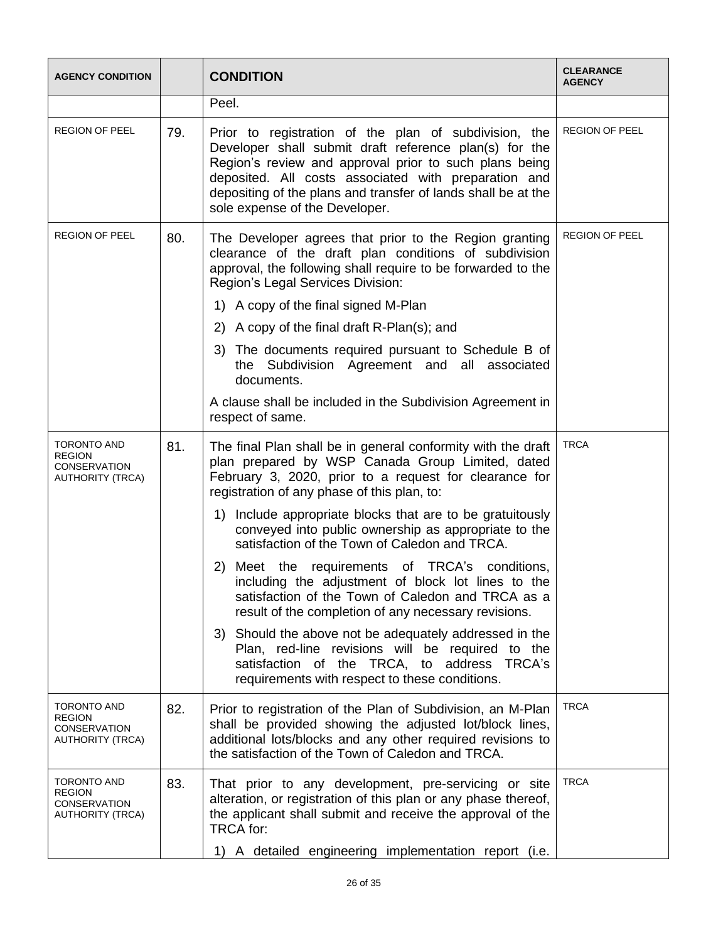| <b>AGENCY CONDITION</b>                                                               |     | <b>CONDITION</b>                                                                                                                                                                                                                                                                                                                     | <b>CLEARANCE</b><br><b>AGENCY</b> |
|---------------------------------------------------------------------------------------|-----|--------------------------------------------------------------------------------------------------------------------------------------------------------------------------------------------------------------------------------------------------------------------------------------------------------------------------------------|-----------------------------------|
|                                                                                       |     | Peel.                                                                                                                                                                                                                                                                                                                                |                                   |
| <b>REGION OF PEEL</b>                                                                 | 79. | Prior to registration of the plan of subdivision, the<br>Developer shall submit draft reference plan(s) for the<br>Region's review and approval prior to such plans being<br>deposited. All costs associated with preparation and<br>depositing of the plans and transfer of lands shall be at the<br>sole expense of the Developer. | <b>REGION OF PEEL</b>             |
| <b>REGION OF PEEL</b>                                                                 | 80. | The Developer agrees that prior to the Region granting<br>clearance of the draft plan conditions of subdivision<br>approval, the following shall require to be forwarded to the<br>Region's Legal Services Division:                                                                                                                 | <b>REGION OF PEEL</b>             |
|                                                                                       |     | 1) A copy of the final signed M-Plan                                                                                                                                                                                                                                                                                                 |                                   |
|                                                                                       |     | 2) A copy of the final draft R-Plan(s); and                                                                                                                                                                                                                                                                                          |                                   |
|                                                                                       |     | 3) The documents required pursuant to Schedule B of<br>the Subdivision Agreement and all associated<br>documents.                                                                                                                                                                                                                    |                                   |
|                                                                                       |     | A clause shall be included in the Subdivision Agreement in<br>respect of same.                                                                                                                                                                                                                                                       |                                   |
| <b>TORONTO AND</b><br><b>REGION</b><br><b>CONSERVATION</b><br><b>AUTHORITY (TRCA)</b> | 81. | The final Plan shall be in general conformity with the draft<br>plan prepared by WSP Canada Group Limited, dated<br>February 3, 2020, prior to a request for clearance for<br>registration of any phase of this plan, to:                                                                                                            | <b>TRCA</b>                       |
|                                                                                       |     | 1) Include appropriate blocks that are to be gratuitously<br>conveyed into public ownership as appropriate to the<br>satisfaction of the Town of Caledon and TRCA.                                                                                                                                                                   |                                   |
|                                                                                       |     | Meet the requirements of TRCA's conditions,<br>2)<br>including the adjustment of block lot lines to the<br>satisfaction of the Town of Caledon and TRCA as a<br>result of the completion of any necessary revisions.                                                                                                                 |                                   |
|                                                                                       |     | 3) Should the above not be adequately addressed in the<br>Plan, red-line revisions will be required to the<br>satisfaction of the TRCA, to address TRCA's<br>requirements with respect to these conditions.                                                                                                                          |                                   |
| <b>TORONTO AND</b><br><b>REGION</b><br><b>CONSERVATION</b><br><b>AUTHORITY (TRCA)</b> | 82. | Prior to registration of the Plan of Subdivision, an M-Plan<br>shall be provided showing the adjusted lot/block lines,<br>additional lots/blocks and any other required revisions to<br>the satisfaction of the Town of Caledon and TRCA.                                                                                            | <b>TRCA</b>                       |
| <b>TORONTO AND</b><br><b>REGION</b><br><b>CONSERVATION</b><br><b>AUTHORITY (TRCA)</b> | 83. | That prior to any development, pre-servicing or site<br>alteration, or registration of this plan or any phase thereof,<br>the applicant shall submit and receive the approval of the<br><b>TRCA</b> for:                                                                                                                             | <b>TRCA</b>                       |
|                                                                                       |     | 1) A detailed engineering implementation report (i.e.                                                                                                                                                                                                                                                                                |                                   |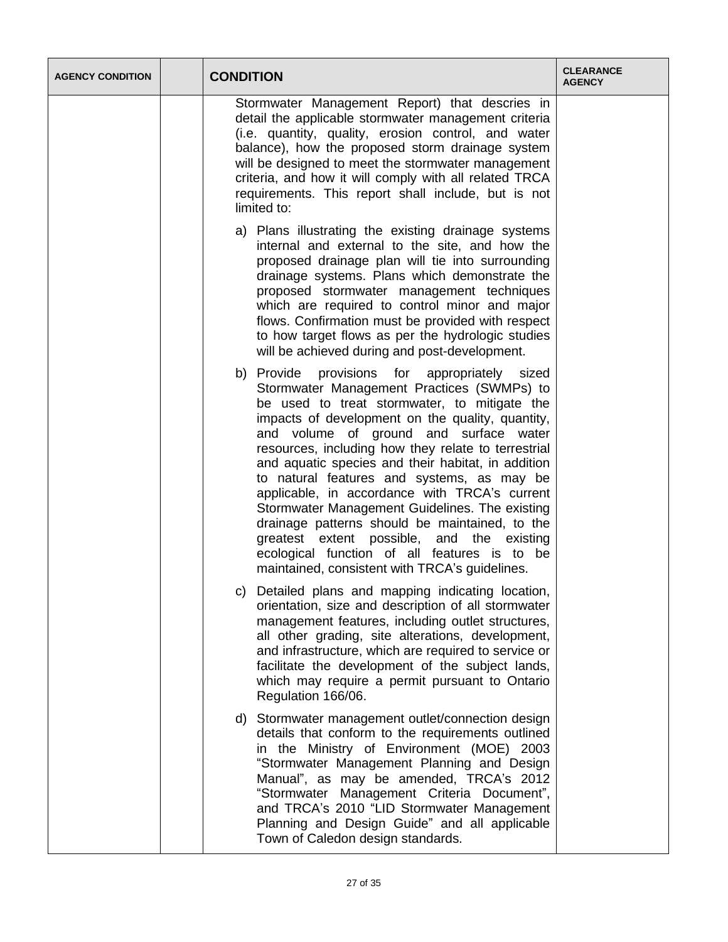| <b>AGENCY CONDITION</b> | <b>CONDITION</b>                                                                                                                                                                                                                                                                                                                                                                                                                                                                                                                                                                                                                                                                                                | <b>CLEARANCE</b><br><b>AGENCY</b> |
|-------------------------|-----------------------------------------------------------------------------------------------------------------------------------------------------------------------------------------------------------------------------------------------------------------------------------------------------------------------------------------------------------------------------------------------------------------------------------------------------------------------------------------------------------------------------------------------------------------------------------------------------------------------------------------------------------------------------------------------------------------|-----------------------------------|
|                         | Stormwater Management Report) that descries in<br>detail the applicable stormwater management criteria<br>(i.e. quantity, quality, erosion control, and water<br>balance), how the proposed storm drainage system<br>will be designed to meet the stormwater management<br>criteria, and how it will comply with all related TRCA<br>requirements. This report shall include, but is not<br>limited to:                                                                                                                                                                                                                                                                                                         |                                   |
|                         | a) Plans illustrating the existing drainage systems<br>internal and external to the site, and how the<br>proposed drainage plan will tie into surrounding<br>drainage systems. Plans which demonstrate the<br>proposed stormwater management techniques<br>which are required to control minor and major<br>flows. Confirmation must be provided with respect<br>to how target flows as per the hydrologic studies<br>will be achieved during and post-development.                                                                                                                                                                                                                                             |                                   |
|                         | b) Provide<br>provisions for appropriately sized<br>Stormwater Management Practices (SWMPs) to<br>be used to treat stormwater, to mitigate the<br>impacts of development on the quality, quantity,<br>and volume of ground and surface water<br>resources, including how they relate to terrestrial<br>and aquatic species and their habitat, in addition<br>to natural features and systems, as may be<br>applicable, in accordance with TRCA's current<br>Stormwater Management Guidelines. The existing<br>drainage patterns should be maintained, to the<br>greatest extent possible, and the<br>existing<br>ecological function of all features is to be<br>maintained, consistent with TRCA's guidelines. |                                   |
|                         | c) Detailed plans and mapping indicating location,<br>orientation, size and description of all stormwater<br>management features, including outlet structures,<br>all other grading, site alterations, development,<br>and infrastructure, which are required to service or<br>facilitate the development of the subject lands,<br>which may require a permit pursuant to Ontario<br>Regulation 166/06.                                                                                                                                                                                                                                                                                                         |                                   |
|                         | d) Stormwater management outlet/connection design<br>details that conform to the requirements outlined<br>in the Ministry of Environment (MOE) 2003<br>"Stormwater Management Planning and Design<br>Manual", as may be amended, TRCA's 2012<br>"Stormwater Management Criteria Document",<br>and TRCA's 2010 "LID Stormwater Management<br>Planning and Design Guide" and all applicable<br>Town of Caledon design standards.                                                                                                                                                                                                                                                                                  |                                   |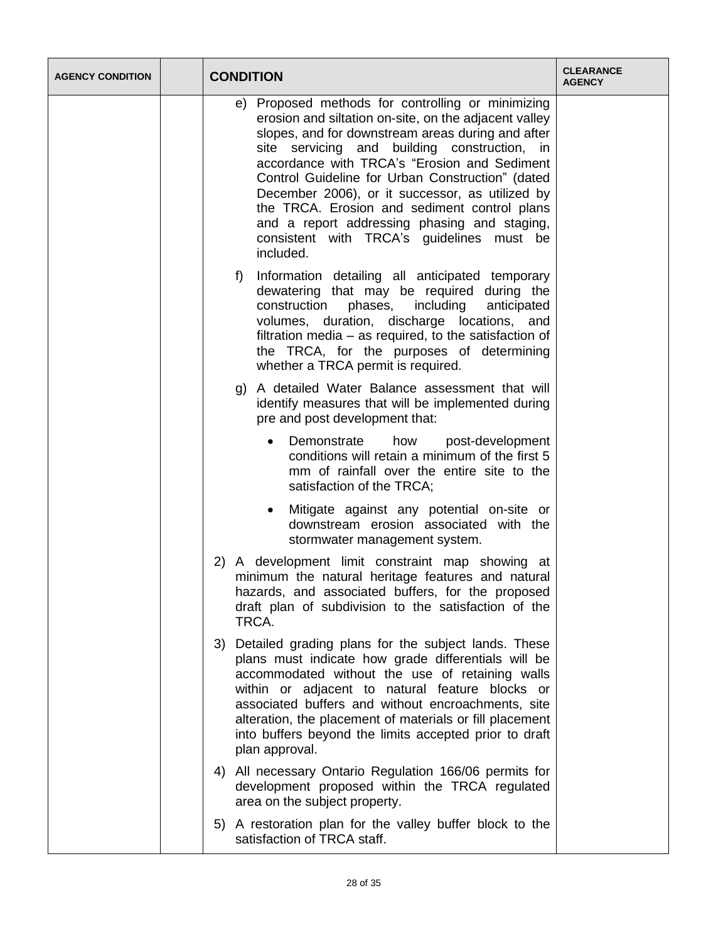| <b>AGENCY CONDITION</b> |    | <b>CONDITION</b>                                                                                                                                                                                                                                                                                                                                                                                                                                                                                                                 | <b>CLEARANCE</b><br><b>AGENCY</b> |
|-------------------------|----|----------------------------------------------------------------------------------------------------------------------------------------------------------------------------------------------------------------------------------------------------------------------------------------------------------------------------------------------------------------------------------------------------------------------------------------------------------------------------------------------------------------------------------|-----------------------------------|
|                         |    | e) Proposed methods for controlling or minimizing<br>erosion and siltation on-site, on the adjacent valley<br>slopes, and for downstream areas during and after<br>site servicing and building construction, in<br>accordance with TRCA's "Erosion and Sediment<br>Control Guideline for Urban Construction" (dated<br>December 2006), or it successor, as utilized by<br>the TRCA. Erosion and sediment control plans<br>and a report addressing phasing and staging,<br>consistent with TRCA's guidelines must be<br>included. |                                   |
|                         |    | Information detailing all anticipated temporary<br>f)<br>dewatering that may be required during the<br>construction<br>including<br>phases,<br>anticipated<br>volumes, duration, discharge locations, and<br>filtration media – as required, to the satisfaction of<br>the TRCA, for the purposes of determining<br>whether a TRCA permit is required.                                                                                                                                                                           |                                   |
|                         |    | g) A detailed Water Balance assessment that will<br>identify measures that will be implemented during<br>pre and post development that:                                                                                                                                                                                                                                                                                                                                                                                          |                                   |
|                         |    | post-development<br>Demonstrate<br>how<br>$\bullet$<br>conditions will retain a minimum of the first 5<br>mm of rainfall over the entire site to the<br>satisfaction of the TRCA;                                                                                                                                                                                                                                                                                                                                                |                                   |
|                         |    | Mitigate against any potential on-site or<br>$\bullet$<br>downstream erosion associated with the<br>stormwater management system.                                                                                                                                                                                                                                                                                                                                                                                                |                                   |
|                         |    | 2) A development limit constraint map showing at<br>minimum the natural heritage features and natural<br>hazards, and associated buffers, for the proposed<br>draft plan of subdivision to the satisfaction of the<br>TRCA.                                                                                                                                                                                                                                                                                                      |                                   |
|                         | 3) | Detailed grading plans for the subject lands. These<br>plans must indicate how grade differentials will be<br>accommodated without the use of retaining walls<br>within or adjacent to natural feature blocks or<br>associated buffers and without encroachments, site<br>alteration, the placement of materials or fill placement<br>into buffers beyond the limits accepted prior to draft<br>plan approval.                                                                                                                   |                                   |
|                         | 4) | All necessary Ontario Regulation 166/06 permits for<br>development proposed within the TRCA regulated<br>area on the subject property.                                                                                                                                                                                                                                                                                                                                                                                           |                                   |
|                         |    | 5) A restoration plan for the valley buffer block to the<br>satisfaction of TRCA staff.                                                                                                                                                                                                                                                                                                                                                                                                                                          |                                   |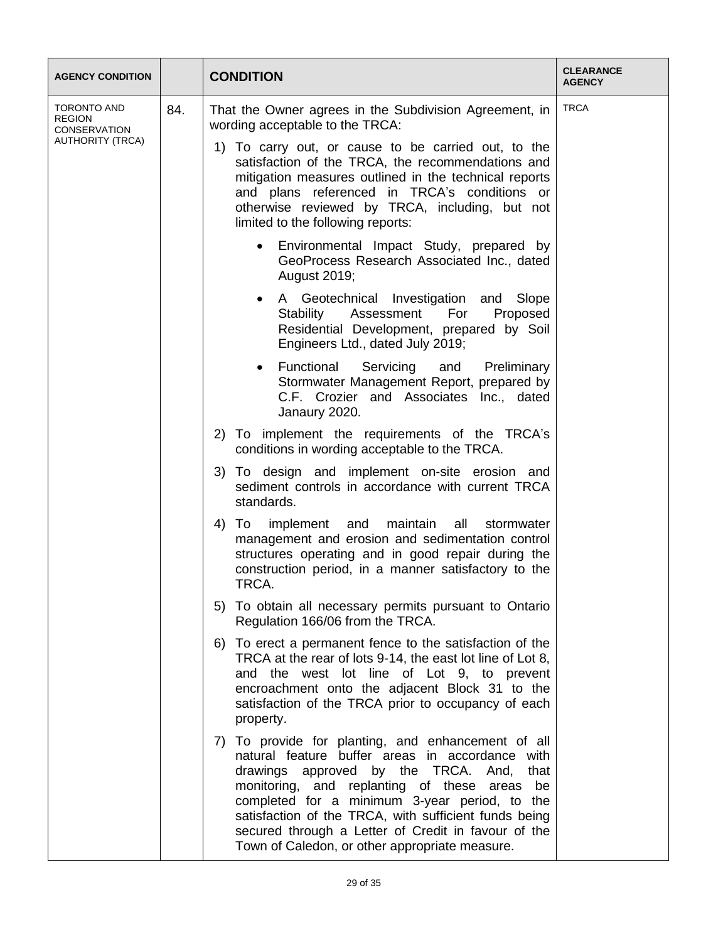| <b>AGENCY CONDITION</b>                             |     | <b>CONDITION</b>                                                                                                                                                                                                                                                                                                                                                                                                           | <b>CLEARANCE</b><br><b>AGENCY</b> |                                                                                                                                                                                                                                                                                                             |             |
|-----------------------------------------------------|-----|----------------------------------------------------------------------------------------------------------------------------------------------------------------------------------------------------------------------------------------------------------------------------------------------------------------------------------------------------------------------------------------------------------------------------|-----------------------------------|-------------------------------------------------------------------------------------------------------------------------------------------------------------------------------------------------------------------------------------------------------------------------------------------------------------|-------------|
| TORONTO AND<br><b>REGION</b><br><b>CONSERVATION</b> | 84. |                                                                                                                                                                                                                                                                                                                                                                                                                            |                                   | That the Owner agrees in the Subdivision Agreement, in<br>wording acceptable to the TRCA:                                                                                                                                                                                                                   | <b>TRCA</b> |
| <b>AUTHORITY (TRCA)</b>                             |     |                                                                                                                                                                                                                                                                                                                                                                                                                            |                                   | To carry out, or cause to be carried out, to the<br>1)<br>satisfaction of the TRCA, the recommendations and<br>mitigation measures outlined in the technical reports<br>and plans referenced in TRCA's conditions or<br>otherwise reviewed by TRCA, including, but not<br>limited to the following reports: |             |
|                                                     |     | Environmental Impact Study, prepared by<br>$\bullet$<br>GeoProcess Research Associated Inc., dated<br>August 2019;                                                                                                                                                                                                                                                                                                         |                                   |                                                                                                                                                                                                                                                                                                             |             |
|                                                     |     | A Geotechnical Investigation and Slope<br>$\bullet$<br>Stability<br>For<br>Proposed<br>Assessment<br>Residential Development, prepared by Soil<br>Engineers Ltd., dated July 2019;                                                                                                                                                                                                                                         |                                   |                                                                                                                                                                                                                                                                                                             |             |
|                                                     |     | Functional<br>Servicing<br>and<br>Preliminary<br>$\bullet$<br>Stormwater Management Report, prepared by<br>C.F. Crozier and Associates Inc., dated<br>Janaury 2020.                                                                                                                                                                                                                                                        |                                   |                                                                                                                                                                                                                                                                                                             |             |
|                                                     |     | To implement the requirements of the TRCA's<br>2)<br>conditions in wording acceptable to the TRCA.                                                                                                                                                                                                                                                                                                                         |                                   |                                                                                                                                                                                                                                                                                                             |             |
|                                                     |     | 3) To design and implement on-site erosion and<br>sediment controls in accordance with current TRCA<br>standards.                                                                                                                                                                                                                                                                                                          |                                   |                                                                                                                                                                                                                                                                                                             |             |
|                                                     |     |                                                                                                                                                                                                                                                                                                                                                                                                                            |                                   | maintain<br>4)<br>To<br>implement<br>all<br>and<br>stormwater<br>management and erosion and sedimentation control<br>structures operating and in good repair during the<br>construction period, in a manner satisfactory to the<br>TRCA.                                                                    |             |
|                                                     |     | 5) To obtain all necessary permits pursuant to Ontario<br>Regulation 166/06 from the TRCA.                                                                                                                                                                                                                                                                                                                                 |                                   |                                                                                                                                                                                                                                                                                                             |             |
|                                                     |     | 6) To erect a permanent fence to the satisfaction of the<br>TRCA at the rear of lots 9-14, the east lot line of Lot 8,<br>and the west lot line of Lot 9, to prevent<br>encroachment onto the adjacent Block 31 to the<br>satisfaction of the TRCA prior to occupancy of each<br>property.                                                                                                                                 |                                   |                                                                                                                                                                                                                                                                                                             |             |
|                                                     |     | 7) To provide for planting, and enhancement of all<br>natural feature buffer areas in accordance with<br>drawings approved by the TRCA. And,<br>that<br>monitoring, and replanting of these areas<br>be<br>completed for a minimum 3-year period, to the<br>satisfaction of the TRCA, with sufficient funds being<br>secured through a Letter of Credit in favour of the<br>Town of Caledon, or other appropriate measure. |                                   |                                                                                                                                                                                                                                                                                                             |             |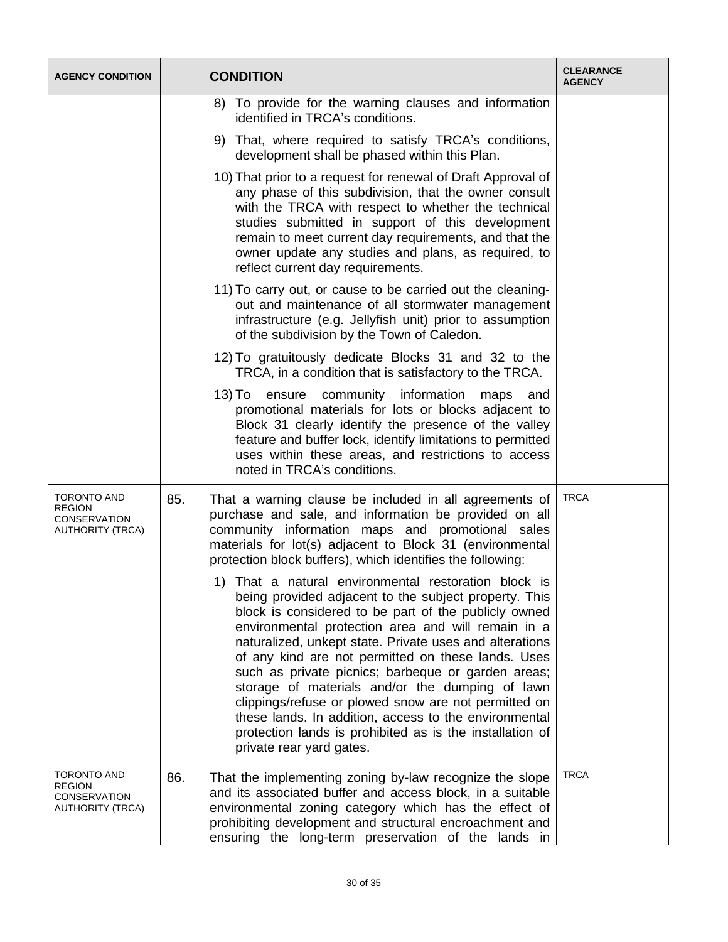| <b>AGENCY CONDITION</b>                                                               |     | <b>CONDITION</b>                                                                                                                                                                                                                                                                                                                                                                                                                                                                                                                                                                                                                                               | <b>CLEARANCE</b><br><b>AGENCY</b> |
|---------------------------------------------------------------------------------------|-----|----------------------------------------------------------------------------------------------------------------------------------------------------------------------------------------------------------------------------------------------------------------------------------------------------------------------------------------------------------------------------------------------------------------------------------------------------------------------------------------------------------------------------------------------------------------------------------------------------------------------------------------------------------------|-----------------------------------|
|                                                                                       |     | To provide for the warning clauses and information<br>8)<br>identified in TRCA's conditions.                                                                                                                                                                                                                                                                                                                                                                                                                                                                                                                                                                   |                                   |
|                                                                                       |     | 9) That, where required to satisfy TRCA's conditions,<br>development shall be phased within this Plan.                                                                                                                                                                                                                                                                                                                                                                                                                                                                                                                                                         |                                   |
|                                                                                       |     | 10) That prior to a request for renewal of Draft Approval of<br>any phase of this subdivision, that the owner consult<br>with the TRCA with respect to whether the technical<br>studies submitted in support of this development<br>remain to meet current day requirements, and that the<br>owner update any studies and plans, as required, to<br>reflect current day requirements.                                                                                                                                                                                                                                                                          |                                   |
|                                                                                       |     | 11) To carry out, or cause to be carried out the cleaning-<br>out and maintenance of all stormwater management<br>infrastructure (e.g. Jellyfish unit) prior to assumption<br>of the subdivision by the Town of Caledon.                                                                                                                                                                                                                                                                                                                                                                                                                                       |                                   |
|                                                                                       |     | 12) To gratuitously dedicate Blocks 31 and 32 to the<br>TRCA, in a condition that is satisfactory to the TRCA.                                                                                                                                                                                                                                                                                                                                                                                                                                                                                                                                                 |                                   |
|                                                                                       |     | 13) To<br>information<br>ensure<br>community<br>maps<br>and<br>promotional materials for lots or blocks adjacent to<br>Block 31 clearly identify the presence of the valley<br>feature and buffer lock, identify limitations to permitted<br>uses within these areas, and restrictions to access<br>noted in TRCA's conditions.                                                                                                                                                                                                                                                                                                                                |                                   |
| <b>TORONTO AND</b><br><b>REGION</b><br><b>CONSERVATION</b><br><b>AUTHORITY (TRCA)</b> | 85. | That a warning clause be included in all agreements of<br>purchase and sale, and information be provided on all<br>community information maps and promotional sales<br>materials for lot(s) adjacent to Block 31 (environmental<br>protection block buffers), which identifies the following:                                                                                                                                                                                                                                                                                                                                                                  | <b>TRCA</b>                       |
|                                                                                       |     | 1) That a natural environmental restoration block is<br>being provided adjacent to the subject property. This<br>block is considered to be part of the publicly owned<br>environmental protection area and will remain in a<br>naturalized, unkept state. Private uses and alterations<br>of any kind are not permitted on these lands. Uses<br>such as private picnics; barbeque or garden areas;<br>storage of materials and/or the dumping of lawn<br>clippings/refuse or plowed snow are not permitted on<br>these lands. In addition, access to the environmental<br>protection lands is prohibited as is the installation of<br>private rear yard gates. |                                   |
| TORONTO AND<br><b>REGION</b><br>CONSERVATION<br><b>AUTHORITY (TRCA)</b>               | 86. | That the implementing zoning by-law recognize the slope<br>and its associated buffer and access block, in a suitable<br>environmental zoning category which has the effect of<br>prohibiting development and structural encroachment and<br>ensuring the long-term preservation of the lands in                                                                                                                                                                                                                                                                                                                                                                | <b>TRCA</b>                       |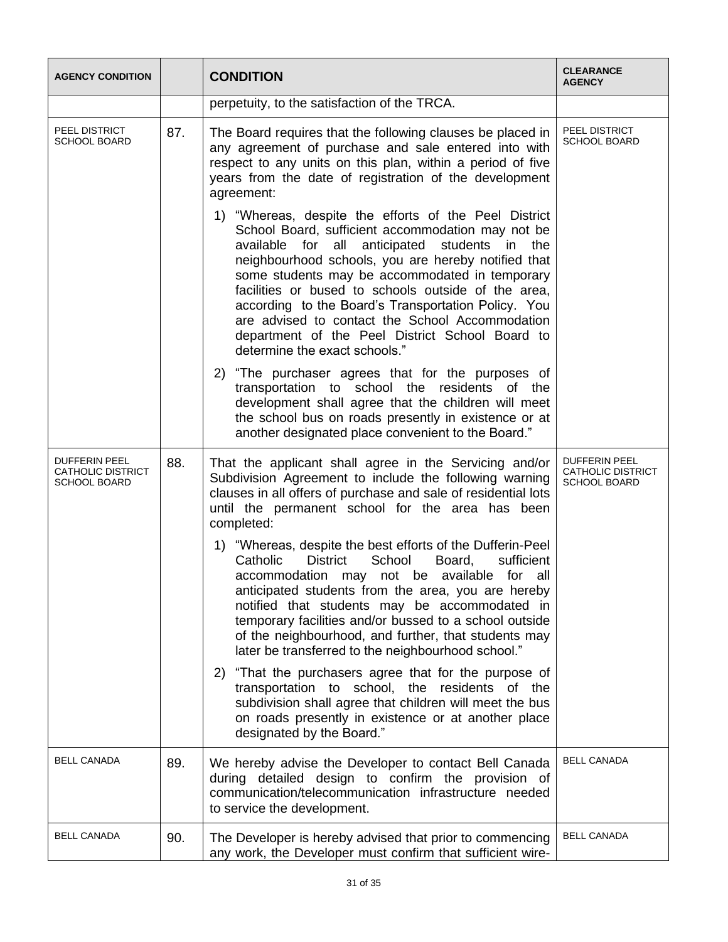| <b>AGENCY CONDITION</b>                                   |     | <b>CONDITION</b>                                                                                                                                                                                                                                                                                                                                                                                                                                                                                                                             | <b>CLEARANCE</b><br><b>AGENCY</b>                                       |
|-----------------------------------------------------------|-----|----------------------------------------------------------------------------------------------------------------------------------------------------------------------------------------------------------------------------------------------------------------------------------------------------------------------------------------------------------------------------------------------------------------------------------------------------------------------------------------------------------------------------------------------|-------------------------------------------------------------------------|
|                                                           |     | perpetuity, to the satisfaction of the TRCA.                                                                                                                                                                                                                                                                                                                                                                                                                                                                                                 |                                                                         |
| PEEL DISTRICT<br>SCHOOL BOARD                             | 87. | The Board requires that the following clauses be placed in<br>any agreement of purchase and sale entered into with<br>respect to any units on this plan, within a period of five<br>years from the date of registration of the development<br>agreement:                                                                                                                                                                                                                                                                                     | PEEL DISTRICT<br><b>SCHOOL BOARD</b>                                    |
|                                                           |     | 1) "Whereas, despite the efforts of the Peel District<br>School Board, sufficient accommodation may not be<br>available<br>for<br>all<br>anticipated<br>students<br>in.<br>the<br>neighbourhood schools, you are hereby notified that<br>some students may be accommodated in temporary<br>facilities or bused to schools outside of the area,<br>according to the Board's Transportation Policy. You<br>are advised to contact the School Accommodation<br>department of the Peel District School Board to<br>determine the exact schools." |                                                                         |
|                                                           |     | 2) "The purchaser agrees that for the purposes of<br>transportation to school the residents of the<br>development shall agree that the children will meet<br>the school bus on roads presently in existence or at<br>another designated place convenient to the Board."                                                                                                                                                                                                                                                                      |                                                                         |
| <b>DUFFERIN PEEL</b><br>CATHOLIC DISTRICT<br>SCHOOL BOARD | 88. | That the applicant shall agree in the Servicing and/or<br>Subdivision Agreement to include the following warning<br>clauses in all offers of purchase and sale of residential lots<br>until the permanent school for the area has been<br>completed:                                                                                                                                                                                                                                                                                         | <b>DUFFERIN PEEL</b><br><b>CATHOLIC DISTRICT</b><br><b>SCHOOL BOARD</b> |
|                                                           |     | 1) "Whereas, despite the best efforts of the Dufferin-Peel<br>Catholic<br><b>District</b><br>School<br>Board,<br>sufficient<br>accommodation may not be available for all<br>anticipated students from the area, you are hereby<br>notified that students may be accommodated in<br>temporary facilities and/or bussed to a school outside<br>of the neighbourhood, and further, that students may<br>later be transferred to the neighbourhood school."                                                                                     |                                                                         |
|                                                           |     | 2) "That the purchasers agree that for the purpose of<br>transportation to school, the residents of the<br>subdivision shall agree that children will meet the bus<br>on roads presently in existence or at another place<br>designated by the Board."                                                                                                                                                                                                                                                                                       |                                                                         |
| <b>BELL CANADA</b>                                        | 89. | We hereby advise the Developer to contact Bell Canada<br>during detailed design to confirm the provision of<br>communication/telecommunication infrastructure needed<br>to service the development.                                                                                                                                                                                                                                                                                                                                          | <b>BELL CANADA</b>                                                      |
| <b>BELL CANADA</b>                                        | 90. | The Developer is hereby advised that prior to commencing<br>any work, the Developer must confirm that sufficient wire-                                                                                                                                                                                                                                                                                                                                                                                                                       | <b>BELL CANADA</b>                                                      |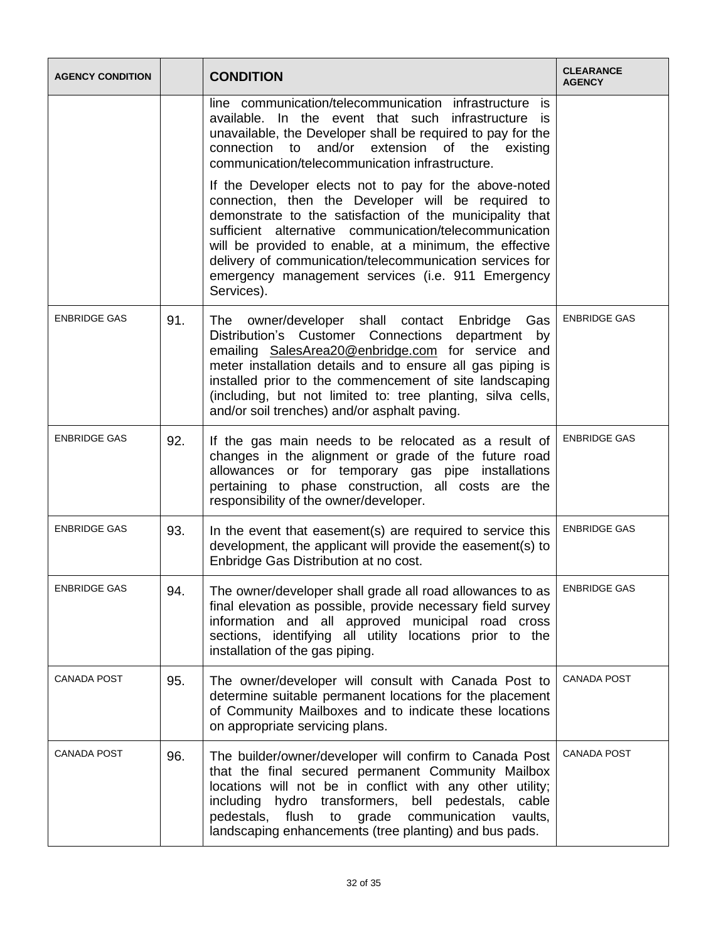| <b>AGENCY CONDITION</b> |     | <b>CLEARANCE</b><br><b>CONDITION</b><br><b>AGENCY</b>                                                                                                                                                                                                                                                                                                                                                                        |  |
|-------------------------|-----|------------------------------------------------------------------------------------------------------------------------------------------------------------------------------------------------------------------------------------------------------------------------------------------------------------------------------------------------------------------------------------------------------------------------------|--|
|                         |     | line communication/telecommunication infrastructure is<br>available. In the event that such infrastructure is<br>unavailable, the Developer shall be required to pay for the<br>connection to and/or extension of the existing<br>communication/telecommunication infrastructure.                                                                                                                                            |  |
|                         |     | If the Developer elects not to pay for the above-noted<br>connection, then the Developer will be required to<br>demonstrate to the satisfaction of the municipality that<br>sufficient alternative communication/telecommunication<br>will be provided to enable, at a minimum, the effective<br>delivery of communication/telecommunication services for<br>emergency management services (i.e. 911 Emergency<br>Services). |  |
| <b>ENBRIDGE GAS</b>     | 91. | <b>ENBRIDGE GAS</b><br>The owner/developer shall contact Enbridge Gas<br>Distribution's Customer Connections department by<br>emailing SalesArea20@enbridge.com for service and<br>meter installation details and to ensure all gas piping is<br>installed prior to the commencement of site landscaping<br>(including, but not limited to: tree planting, silva cells,<br>and/or soil trenches) and/or asphalt paving.      |  |
| <b>ENBRIDGE GAS</b>     | 92. | <b>ENBRIDGE GAS</b><br>If the gas main needs to be relocated as a result of<br>changes in the alignment or grade of the future road<br>allowances or for temporary gas pipe installations<br>pertaining to phase construction, all costs are the<br>responsibility of the owner/developer.                                                                                                                                   |  |
| <b>ENBRIDGE GAS</b>     | 93. | <b>ENBRIDGE GAS</b><br>In the event that easement(s) are required to service this<br>development, the applicant will provide the easement(s) to<br>Enbridge Gas Distribution at no cost.                                                                                                                                                                                                                                     |  |
| <b>FNBRIDGE GAS</b>     | 94. | <b>ENBRIDGE GAS</b><br>The owner/developer shall grade all road allowances to as<br>final elevation as possible, provide necessary field survey<br>information and all approved municipal road cross<br>sections, identifying all utility locations prior to the<br>installation of the gas piping.                                                                                                                          |  |
| <b>CANADA POST</b>      | 95. | <b>CANADA POST</b><br>The owner/developer will consult with Canada Post to<br>determine suitable permanent locations for the placement<br>of Community Mailboxes and to indicate these locations<br>on appropriate servicing plans.                                                                                                                                                                                          |  |
| <b>CANADA POST</b>      | 96. | <b>CANADA POST</b><br>The builder/owner/developer will confirm to Canada Post<br>that the final secured permanent Community Mailbox<br>locations will not be in conflict with any other utility;<br>including hydro transformers,<br>bell<br>pedestals,<br>cable<br>pedestals,<br>flush to<br>grade communication<br>vaults,<br>landscaping enhancements (tree planting) and bus pads.                                       |  |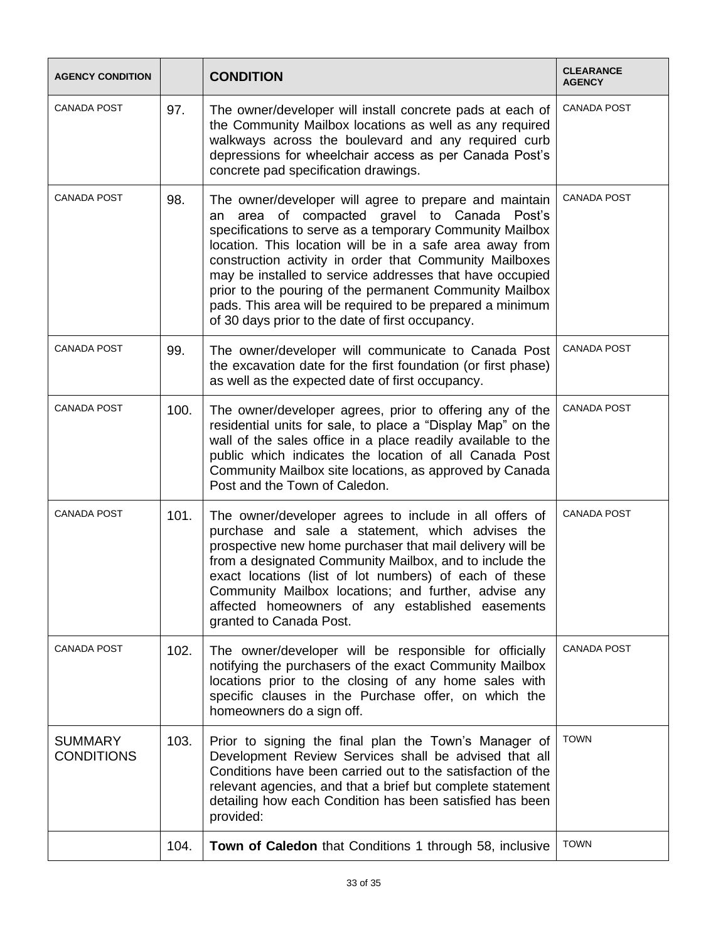| <b>AGENCY CONDITION</b>             |      | <b>CONDITION</b>                                                                                                                                                                                                                                                                                                                                                                                                                                                                                                                                              | <b>CLEARANCE</b><br><b>AGENCY</b> |
|-------------------------------------|------|---------------------------------------------------------------------------------------------------------------------------------------------------------------------------------------------------------------------------------------------------------------------------------------------------------------------------------------------------------------------------------------------------------------------------------------------------------------------------------------------------------------------------------------------------------------|-----------------------------------|
| <b>CANADA POST</b>                  | 97.  | <b>CANADA POST</b><br>The owner/developer will install concrete pads at each of<br>the Community Mailbox locations as well as any required<br>walkways across the boulevard and any required curb<br>depressions for wheelchair access as per Canada Post's<br>concrete pad specification drawings.                                                                                                                                                                                                                                                           |                                   |
| <b>CANADA POST</b>                  | 98.  | <b>CANADA POST</b><br>The owner/developer will agree to prepare and maintain<br>area of compacted gravel to Canada<br>Post's<br>an<br>specifications to serve as a temporary Community Mailbox<br>location. This location will be in a safe area away from<br>construction activity in order that Community Mailboxes<br>may be installed to service addresses that have occupied<br>prior to the pouring of the permanent Community Mailbox<br>pads. This area will be required to be prepared a minimum<br>of 30 days prior to the date of first occupancy. |                                   |
| <b>CANADA POST</b>                  | 99.  | The owner/developer will communicate to Canada Post<br>the excavation date for the first foundation (or first phase)<br>as well as the expected date of first occupancy.                                                                                                                                                                                                                                                                                                                                                                                      | <b>CANADA POST</b>                |
| <b>CANADA POST</b>                  | 100. | The owner/developer agrees, prior to offering any of the<br>residential units for sale, to place a "Display Map" on the<br>wall of the sales office in a place readily available to the<br>public which indicates the location of all Canada Post<br>Community Mailbox site locations, as approved by Canada<br>Post and the Town of Caledon.                                                                                                                                                                                                                 | <b>CANADA POST</b>                |
| <b>CANADA POST</b>                  | 101. | <b>CANADA POST</b><br>The owner/developer agrees to include in all offers of<br>purchase and sale a statement, which advises the<br>prospective new home purchaser that mail delivery will be<br>from a designated Community Mailbox, and to include the<br>exact locations (list of lot numbers) of each of these<br>Community Mailbox locations; and further, advise any<br>affected homeowners of any established easements<br>granted to Canada Post.                                                                                                     |                                   |
| <b>CANADA POST</b>                  | 102. | The owner/developer will be responsible for officially<br>notifying the purchasers of the exact Community Mailbox<br>locations prior to the closing of any home sales with<br>specific clauses in the Purchase offer, on which the<br>homeowners do a sign off.                                                                                                                                                                                                                                                                                               | <b>CANADA POST</b>                |
| <b>SUMMARY</b><br><b>CONDITIONS</b> | 103. | Prior to signing the final plan the Town's Manager of<br>Development Review Services shall be advised that all<br>Conditions have been carried out to the satisfaction of the<br>relevant agencies, and that a brief but complete statement<br>detailing how each Condition has been satisfied has been<br>provided:                                                                                                                                                                                                                                          | <b>TOWN</b>                       |
|                                     | 104. | <b>Town of Caledon</b> that Conditions 1 through 58, inclusive                                                                                                                                                                                                                                                                                                                                                                                                                                                                                                | <b>TOWN</b>                       |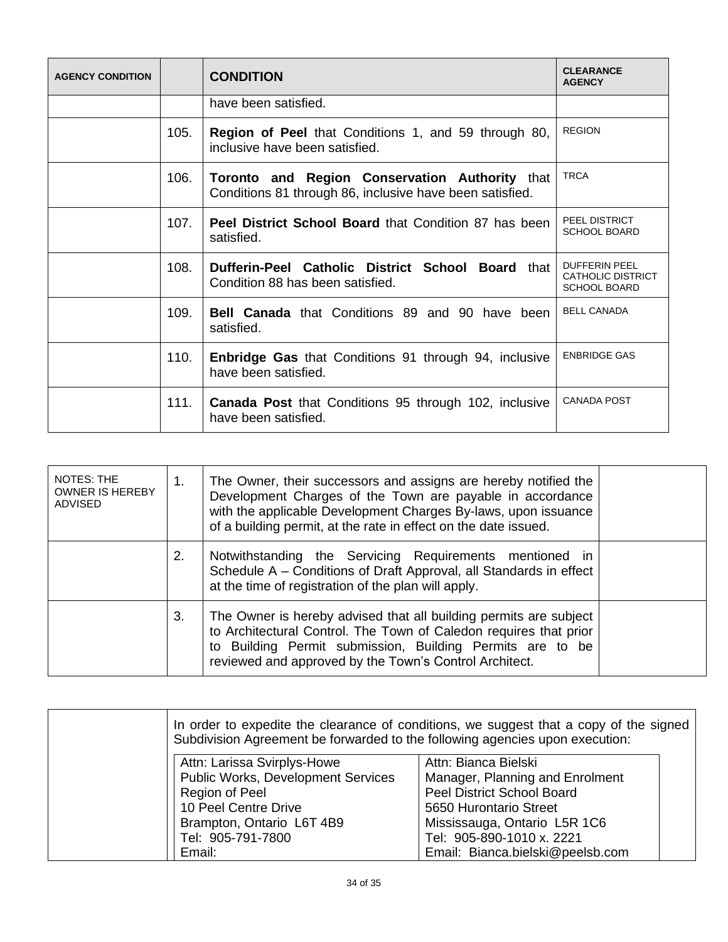| <b>AGENCY CONDITION</b> |      | <b>CONDITION</b>                                                                                           | <b>CLEARANCE</b><br><b>AGENCY</b>                                       |
|-------------------------|------|------------------------------------------------------------------------------------------------------------|-------------------------------------------------------------------------|
|                         |      | have been satisfied.                                                                                       |                                                                         |
|                         | 105. | <b>Region of Peel that Conditions 1, and 59 through 80,</b><br>inclusive have been satisfied.              | <b>REGION</b>                                                           |
|                         | 106. | Toronto and Region Conservation Authority that<br>Conditions 81 through 86, inclusive have been satisfied. | <b>TRCA</b>                                                             |
|                         | 107. | Peel District School Board that Condition 87 has been<br>satisfied.                                        | <b>PEEL DISTRICT</b><br><b>SCHOOL BOARD</b>                             |
|                         | 108. | Dufferin-Peel Catholic District School Board that<br>Condition 88 has been satisfied.                      | <b>DUFFERIN PEEL</b><br><b>CATHOLIC DISTRICT</b><br><b>SCHOOL BOARD</b> |
|                         | 109. | <b>Bell Canada</b> that Conditions 89 and 90 have been<br>satisfied.                                       | <b>BELL CANADA</b>                                                      |
|                         | 110. | <b>Enbridge Gas</b> that Conditions 91 through 94, inclusive<br>have been satisfied.                       | <b>ENBRIDGE GAS</b>                                                     |
|                         | 111. | <b>Canada Post that Conditions 95 through 102, inclusive</b><br>have been satisfied.                       | <b>CANADA POST</b>                                                      |

| <b>NOTES: THE</b><br><b>OWNER IS HEREBY</b><br><b>ADVISED</b> | 1. | The Owner, their successors and assigns are hereby notified the<br>Development Charges of the Town are payable in accordance<br>with the applicable Development Charges By-laws, upon issuance<br>of a building permit, at the rate in effect on the date issued. |  |
|---------------------------------------------------------------|----|-------------------------------------------------------------------------------------------------------------------------------------------------------------------------------------------------------------------------------------------------------------------|--|
|                                                               | 2. | Notwithstanding the Servicing Requirements mentioned in<br>Schedule A - Conditions of Draft Approval, all Standards in effect<br>at the time of registration of the plan will apply.                                                                              |  |
|                                                               | 3. | The Owner is hereby advised that all building permits are subject<br>to Architectural Control. The Town of Caledon requires that prior<br>to Building Permit submission, Building Permits are to be<br>reviewed and approved by the Town's Control Architect.     |  |

| In order to expedite the clearance of conditions, we suggest that a copy of the signed<br>Subdivision Agreement be forwarded to the following agencies upon execution: |                                  |  |  |  |  |  |
|------------------------------------------------------------------------------------------------------------------------------------------------------------------------|----------------------------------|--|--|--|--|--|
| Attn: Larissa Svirplys-Howe<br>Attn: Bianca Bielski                                                                                                                    |                                  |  |  |  |  |  |
| <b>Public Works, Development Services</b>                                                                                                                              | Manager, Planning and Enrolment  |  |  |  |  |  |
| Region of Peel                                                                                                                                                         | Peel District School Board       |  |  |  |  |  |
| 10 Peel Centre Drive                                                                                                                                                   | 5650 Hurontario Street           |  |  |  |  |  |
| Brampton, Ontario L6T 4B9                                                                                                                                              | Mississauga, Ontario L5R 1C6     |  |  |  |  |  |
| Tel: 905-791-7800                                                                                                                                                      | Tel: 905-890-1010 x. 2221        |  |  |  |  |  |
| Email:                                                                                                                                                                 | Email: Bianca.bielski@peelsb.com |  |  |  |  |  |